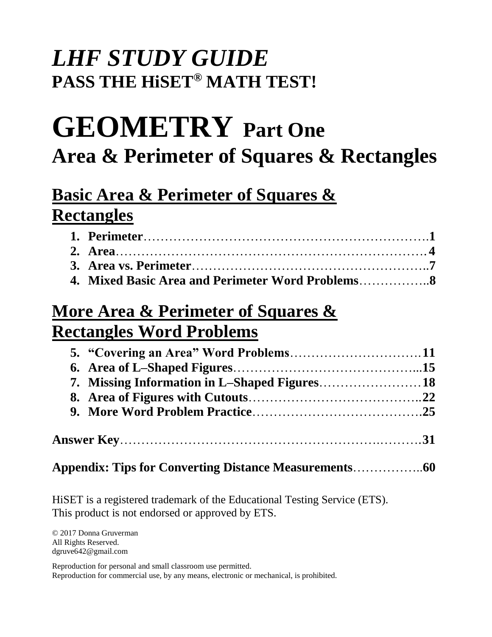# *LHF STUDY GUIDE*  **PASS THE HiSET® MATH TEST!**

# **GEOMETRY Part One Area & Perimeter of Squares & Rectangles**

# **Basic Area & Perimeter of Squares & Rectangles**

| 4. Mixed Basic Area and Perimeter Word Problems |  |
|-------------------------------------------------|--|

# **More Area & Perimeter of Squares & Rectangles Word Problems**

**Appendix: Tips for Converting Distance Measurements**……………..**60** 

HiSET is a registered trademark of the Educational Testing Service (ETS). This product is not endorsed or approved by ETS.

© 2017 Donna Gruverman All Rights Reserved. dgruve642@gmail.com

Reproduction for personal and small classroom use permitted. Reproduction for commercial use, by any means, electronic or mechanical, is prohibited.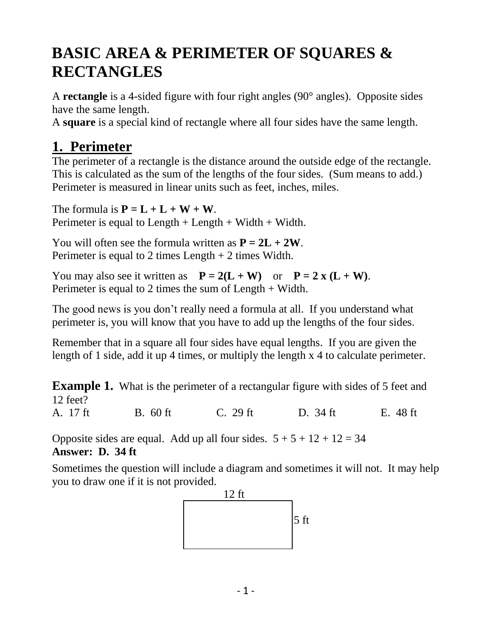# **BASIC AREA & PERIMETER OF SQUARES & RECTANGLES**

A **rectangle** is a 4-sided figure with four right angles (90° angles). Opposite sides have the same length.

A **square** is a special kind of rectangle where all four sides have the same length.

### **1. Perimeter**

The perimeter of a rectangle is the distance around the outside edge of the rectangle. This is calculated as the sum of the lengths of the four sides. (Sum means to add.) Perimeter is measured in linear units such as feet, inches, miles.

The formula is  $P = L + L + W + W$ . Perimeter is equal to Length  $+$  Length  $+$  Width  $+$  Width.

You will often see the formula written as  $P = 2L + 2W$ . Perimeter is equal to 2 times Length + 2 times Width.

You may also see it written as  $P = 2(L + W)$  or  $P = 2x (L + W)$ . Perimeter is equal to 2 times the sum of Length + Width.

The good news is you don't really need a formula at all. If you understand what perimeter is, you will know that you have to add up the lengths of the four sides.

Remember that in a square all four sides have equal lengths. If you are given the length of 1 side, add it up 4 times, or multiply the length x 4 to calculate perimeter.

**Example 1.** What is the perimeter of a rectangular figure with sides of 5 feet and 12 feet?

A. 17 ft B. 60 ft C. 29 ft D. 34 ft E. 48 ft

Opposite sides are equal. Add up all four sides.  $5 + 5 + 12 + 12 = 34$ **Answer: D. 34 ft**

Sometimes the question will include a diagram and sometimes it will not. It may help you to draw one if it is not provided.

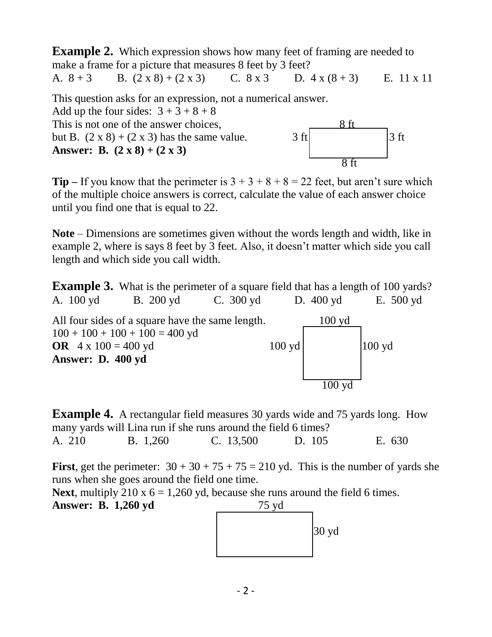**Example 2.** Which expression shows how many feet of framing are needed to make a frame for a picture that measures 8 feet by 3 feet? A.  $8 + 3$  B.  $(2 \times 8) + (2 \times 3)$  C.  $8 \times 3$  D.  $4 \times (8 + 3)$  E. 11 x 11 This question asks for an expression, not a numerical answer. Add up the four sides:  $3 + 3 + 8 + 8$ This is not one of the answer choices. but B.  $(2 \times 8) + (2 \times 3)$  has the same value. 3 ft 3 ft 3 ft **Answer: B.**  $(2 \times 8) + (2 \times 3)$ 8 ft

**Tip** – If you know that the perimeter is  $3 + 3 + 8 + 8 = 22$  feet, but aren't sure which of the multiple choice answers is correct, calculate the value of each answer choice until you find one that is equal to 22.

**Note** – Dimensions are sometimes given without the words length and width, like in example 2, where is says 8 feet by 3 feet. Also, it doesn't matter which side you call length and which side you call width.

**Example 3.** What is the perimeter of a square field that has a length of 100 yards? A. 100 yd B. 200 yd C. 300 yd D. 400 yd E. 500 yd All four sides of a square have the same length. 100 yd  $100 + 100 + 100 + 100 = 400$  yd **OR**  $4 \times 100 = 400 \text{ yd}$  100 yd 100 yd **Answer: D. 400 yd** 100 yd

**Example 4.** A rectangular field measures 30 yards wide and 75 yards long. How many yards will Lina run if she runs around the field 6 times? A. 210 B. 1,260 C. 13,500 D. 105 E. 630

**First**, get the perimeter:  $30 + 30 + 75 + 75 = 210$  yd. This is the number of yards she runs when she goes around the field one time.

**Next**, multiply 210 x  $6 = 1,260$  yd, because she runs around the field 6 times.

**Answer: B. 1,260 yd** 75 yd

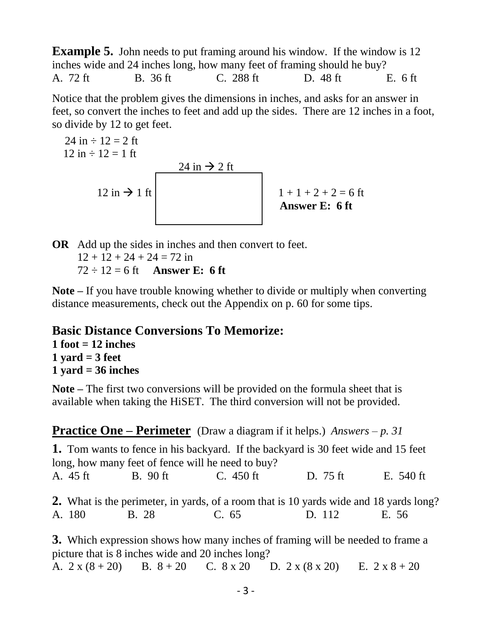**Example 5.** John needs to put framing around his window. If the window is 12 inches wide and 24 inches long, how many feet of framing should he buy? A. 72 ft B. 36 ft C. 288 ft D. 48 ft E. 6 ft

Notice that the problem gives the dimensions in inches, and asks for an answer in feet, so convert the inches to feet and add up the sides. There are 12 inches in a foot, so divide by 12 to get feet.

 24 in ÷ 12 = 2 ft 12 in ÷ 12 = 1 ft 24 in 2 ft 12 in 1 ft 1 + 1 + 2 + 2 = 6 ft **Answer E: 6 ft** 

**OR** Add up the sides in inches and then convert to feet.  $12 + 12 + 24 + 24 = 72$  in  $72 \div 12 = 6$  ft **Answer E: 6 ft** 

**Note –** If you have trouble knowing whether to divide or multiply when converting distance measurements, check out the Appendix on p. 60 for some tips.

### **Basic Distance Conversions To Memorize:**

**1 foot = 12 inches 1 yard = 3 feet 1 yard = 36 inches**

**Note –** The first two conversions will be provided on the formula sheet that is available when taking the HiSET. The third conversion will not be provided.

**Practice One – Perimeter** (Draw a diagram if it helps.) *Answers – p. 31* **1.** Tom wants to fence in his backyard. If the backyard is 30 feet wide and 15 feet long, how many feet of fence will he need to buy? A. 45 ft B. 90 ft C. 450 ft D. 75 ft E. 540 ft **2.** What is the perimeter, in yards, of a room that is 10 yards wide and 18 yards long? A. 180 B. 28 C. 65 D. 112 E. 56 **3.** Which expression shows how many inches of framing will be needed to frame a picture that is 8 inches wide and 20 inches long?

A.  $2 x (8 + 20)$  B.  $8 + 20$  C.  $8 x 20$  D.  $2 x (8 x 20)$  E.  $2 x 8 + 20$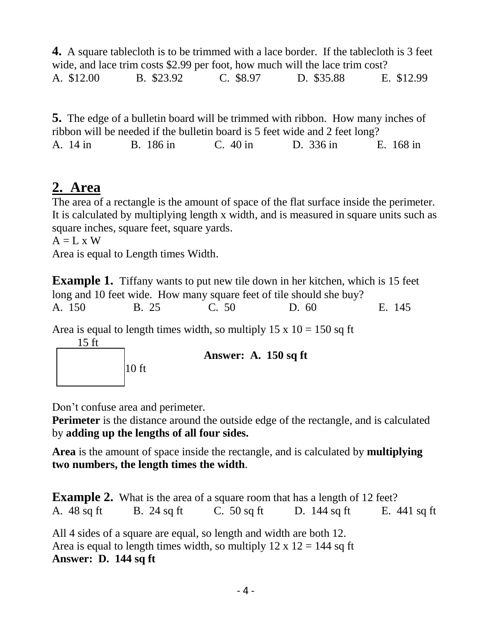**4.** A square tablecloth is to be trimmed with a lace border. If the tablecloth is 3 feet wide, and lace trim costs \$2.99 per foot, how much will the lace trim cost? A. \$12.00 B. \$23.92 C. \$8.97 D. \$35.88 E. \$12.99

**5.** The edge of a bulletin board will be trimmed with ribbon. How many inches of ribbon will be needed if the bulletin board is 5 feet wide and 2 feet long? A. 14 in B. 186 in C. 40 in D. 336 in E. 168 in

### **2. Area**

The area of a rectangle is the amount of space of the flat surface inside the perimeter. It is calculated by multiplying length x width, and is measured in square units such as square inches, square feet, square yards.

 $A = L \times W$ 

Area is equal to Length times Width.

**Example 1.** Tiffany wants to put new tile down in her kitchen, which is 15 feet long and 10 feet wide. How many square feet of tile should she buy? A. 150 B. 25 C. 50 D. 60 E. 145

Area is equal to length times width, so multiply  $15 \times 10 = 150$  sq ft 15 ft



**Answer: A. 150 sq ft** 

Don't confuse area and perimeter.

**Perimeter** is the distance around the outside edge of the rectangle, and is calculated by **adding up the lengths of all four sides.**

**Area** is the amount of space inside the rectangle, and is calculated by **multiplying two numbers, the length times the width**.

**Example 2.** What is the area of a square room that has a length of 12 feet? A. 48 sq ft B. 24 sq ft C. 50 sq ft D. 144 sq ft E. 441 sq ft All 4 sides of a square are equal, so length and width are both 12. Area is equal to length times width, so multiply  $12 \times 12 = 144$  sq ft

### **Answer: D. 144 sq ft**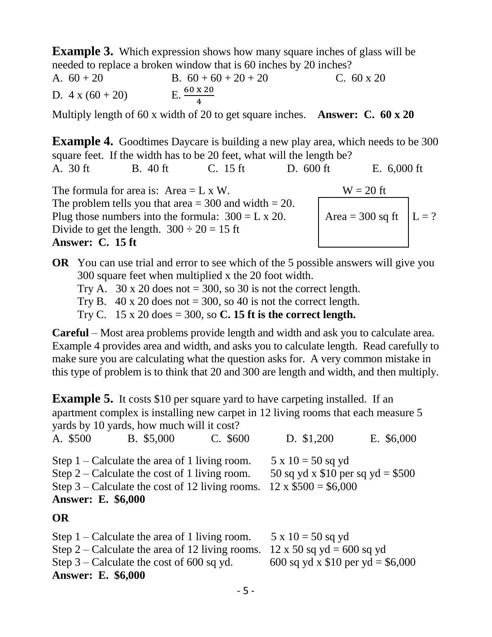**Example 3.** Which expression shows how many square inches of glass will be needed to replace a broken window that is 60 inches by 20 inches?

A.  $60 + 20$  B.  $60 + 60 + 20 + 20$  C.  $60 \times 20$ D.  $4 \times (60 + 20)$  $\frac{120}{4}$ 

Multiply length of 60 x width of 20 to get square inches. **Answer: C. 60 x 20**

**Example 4.** Goodtimes Daycare is building a new play area, which needs to be 300 square feet. If the width has to be 20 feet, what will the length be? A. 30 ft B. 40 ft C. 15 ft D. 600 ft E. 6,000 ft

The formula for area is:  $Area = L \times W$ . W = 20 ft The problem tells you that area  $= 300$  and width  $= 20$ . Plug those numbers into the formula:  $300 = L \times 20$ . Area = 300 sq ft  $L = ?$ Divide to get the length.  $300 \div 20 = 15$  ft **Answer: C. 15 ft**

**OR** You can use trial and error to see which of the 5 possible answers will give you 300 square feet when multiplied x the 20 foot width.

Try A. 30 x 20 does not  $= 300$ , so 30 is not the correct length.

Try B.  $40 \times 20$  does not = 300, so 40 is not the correct length.

Try C. 15 x 20 does = 300, so **C. 15 ft is the correct length.**

**Careful** – Most area problems provide length and width and ask you to calculate area. Example 4 provides area and width, and asks you to calculate length. Read carefully to make sure you are calculating what the question asks for. A very common mistake in this type of problem is to think that 20 and 300 are length and width, and then multiply.

**Example 5.** It costs \$10 per square yard to have carpeting installed. If an apartment complex is installing new carpet in 12 living rooms that each measure 5 yards by 10 yards, how much will it cost?

|           | A. \$500                  | B. \$5,000                                                                                       | $C.$ \$600                                        | D. \$1,200                                                                                        | E. \$6,000 |
|-----------|---------------------------|--------------------------------------------------------------------------------------------------|---------------------------------------------------|---------------------------------------------------------------------------------------------------|------------|
|           | <b>Answer: E. \$6,000</b> | Step $1$ – Calculate the area of 1 living room.<br>Step 2 – Calculate the cost of 1 living room. | Step $3$ – Calculate the cost of 12 living rooms. | $5 \times 10 = 50$ sq yd<br>50 sq yd x $$10$ per sq yd = \$500<br>$12 \times $500 = $6,000$       |            |
| <b>OR</b> |                           |                                                                                                  |                                                   |                                                                                                   |            |
|           | <b>Answer: E. \$6,000</b> | Step $1$ – Calculate the area of 1 living room.<br>Step $3$ – Calculate the cost of 600 sq yd.   | Step 2 – Calculate the area of 12 living rooms.   | $5 \times 10 = 50$ sq yd<br>$12 \times 50$ sq yd = 600 sq yd<br>600 sq yd x \$10 per yd = \$6,000 |            |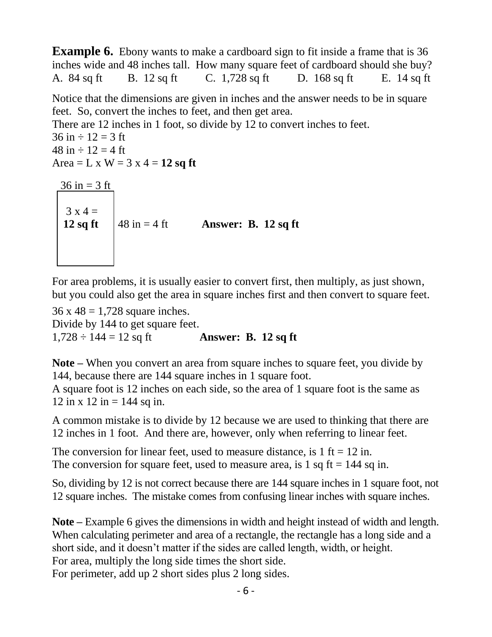**Example 6.** Ebony wants to make a cardboard sign to fit inside a frame that is 36 inches wide and 48 inches tall. How many square feet of cardboard should she buy? A. 84 sq ft B. 12 sq ft C. 1,728 sq ft D. 168 sq ft E. 14 sq ft

Notice that the dimensions are given in inches and the answer needs to be in square feet. So, convert the inches to feet, and then get area.

There are 12 inches in 1 foot, so divide by 12 to convert inches to feet.  $36 \text{ in} \div 12 = 3 \text{ ft}$  $48 \text{ in} \div 12 = 4 \text{ ft}$ Area  $= L \times W = 3 \times 4 = 12$  sq ft  $36 in = 3 ft$  $3 x 4 =$ 

**12 sq ft**  $\begin{cases} 48 \text{ in} = 4 \text{ ft} \\ 48 \text{ in} = 4 \text{ ft} \end{cases}$  **Answer: B. 12 sq ft** 

For area problems, it is usually easier to convert first, then multiply, as just shown, but you could also get the area in square inches first and then convert to square feet.

 $36 \times 48 = 1,728$  square inches. Divide by 144 to get square feet.  $1,728 \div 144 = 12$  sq ft<br>**Answer: B. 12 sq ft** 

**Note –** When you convert an area from square inches to square feet, you divide by 144, because there are 144 square inches in 1 square foot.

A square foot is 12 inches on each side, so the area of 1 square foot is the same as 12 in x 12 in = 144 sq in.

A common mistake is to divide by 12 because we are used to thinking that there are 12 inches in 1 foot. And there are, however, only when referring to linear feet.

The conversion for linear feet, used to measure distance, is  $1 \text{ ft} = 12 \text{ in.}$ The conversion for square feet, used to measure area, is 1 sq ft  $= 144$  sq in.

So, dividing by 12 is not correct because there are 144 square inches in 1 square foot, not 12 square inches. The mistake comes from confusing linear inches with square inches.

**Note –** Example 6 gives the dimensions in width and height instead of width and length. When calculating perimeter and area of a rectangle, the rectangle has a long side and a short side, and it doesn't matter if the sides are called length, width, or height. For area, multiply the long side times the short side. For perimeter, add up 2 short sides plus 2 long sides.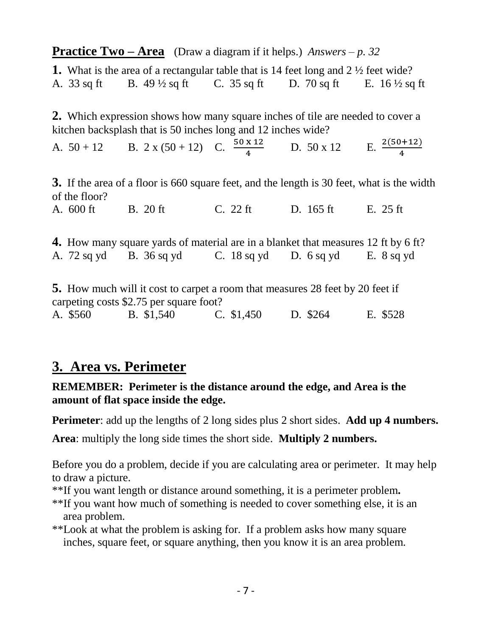**Practice Two – Area** (Draw a diagram if it helps.) *Answers – p. 32*

| <b>1.</b> What is the area of a rectangular table that is 14 feet long and $2\frac{1}{2}$ feet wide? |                          |               |               |                          |
|------------------------------------------------------------------------------------------------------|--------------------------|---------------|---------------|--------------------------|
| A. 33 sq ft                                                                                          | B. $49\frac{1}{2}$ sq ft | C. $35$ sq ft | D. $70$ sq ft | E. $16\frac{1}{2}$ sq ft |

**2.** Which expression shows how many square inches of tile are needed to cover a kitchen backsplash that is 50 inches long and 12 inches wide?

A.  $50 + 12$  B.  $2 \times (50 + 12)$  C.  $\frac{50 \times 12}{4}$  D.  $50 \times 12$  E.  $\frac{2(50 + 12)}{4}$ 

**3.** If the area of a floor is 660 square feet, and the length is 30 feet, what is the width of the floor?

A. 600 ft B. 20 ft C. 22 ft D. 165 ft E. 25 ft

**4.** How many square yards of material are in a blanket that measures 12 ft by 6 ft? A. 72 sq yd B. 36 sq yd C. 18 sq yd D. 6 sq yd E. 8 sq yd **5.** How much will it cost to carpet a room that measures 28 feet by 20 feet if

carpeting costs \$2.75 per square foot? A. \$560 B. \$1,540 C. \$1,450 D. \$264 E. \$528

### **3. Area vs. Perimeter**

**REMEMBER: Perimeter is the distance around the edge, and Area is the amount of flat space inside the edge.** 

**Perimeter**: add up the lengths of 2 long sides plus 2 short sides. **Add up 4 numbers.**

**Area**: multiply the long side times the short side. **Multiply 2 numbers.**

Before you do a problem, decide if you are calculating area or perimeter. It may help to draw a picture.

\*\*If you want length or distance around something, it is a perimeter problem**.** 

\*\*If you want how much of something is needed to cover something else, it is an area problem.

\*\*Look at what the problem is asking for. If a problem asks how many square inches, square feet, or square anything, then you know it is an area problem.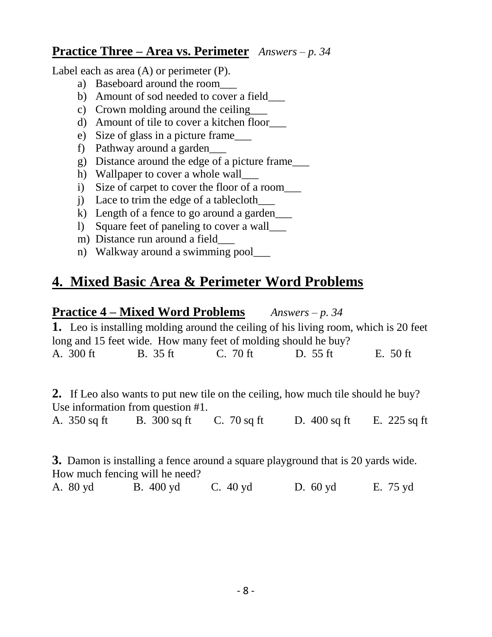### **Practice Three – Area vs. Perimeter** *Answers – p. 34*

Label each as area (A) or perimeter (P).

- a) Baseboard around the room\_\_\_
- b) Amount of sod needed to cover a field\_\_\_\_
- c) Crown molding around the ceiling
- d) Amount of tile to cover a kitchen floor\_\_\_
- e) Size of glass in a picture frame\_\_\_
- f) Pathway around a garden\_\_\_
- g) Distance around the edge of a picture frame\_\_\_
- h) Wallpaper to cover a whole wall
- i) Size of carpet to cover the floor of a room\_\_\_
- j) Lace to trim the edge of a tablecloth\_\_\_
- k) Length of a fence to go around a garden
- l) Square feet of paneling to cover a wall\_\_\_
- m) Distance run around a field
- n) Walkway around a swimming pool

## **4. Mixed Basic Area & Perimeter Word Problems**

### **Practice 4 – Mixed Word Problems** *Answers – p. 34*

**1.** Leo is installing molding around the ceiling of his living room, which is 20 feet long and 15 feet wide. How many feet of molding should he buy? A. 300 ft B. 35 ft C. 70 ft D. 55 ft E. 50 ft

**2.** If Leo also wants to put new tile on the ceiling, how much tile should he buy? Use information from question #1.

A. 350 sq ft B. 300 sq ft C. 70 sq ft D. 400 sq ft E. 225 sq ft

**3.** Damon is installing a fence around a square playground that is 20 yards wide. How much fencing will he need? A. 80 yd B. 400 yd C. 40 yd D. 60 yd E. 75 yd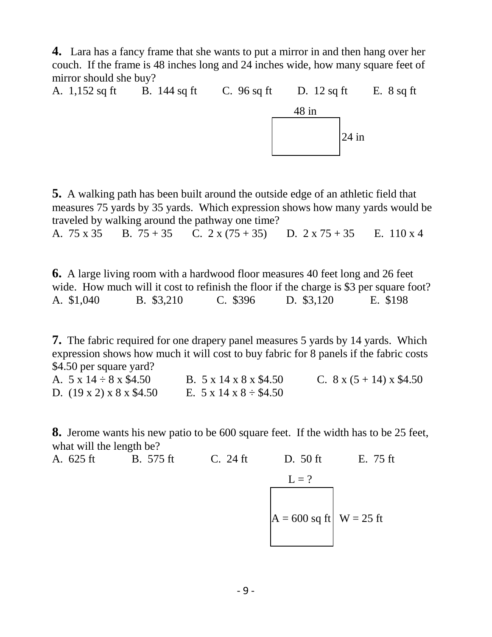**4.** Lara has a fancy frame that she wants to put a mirror in and then hang over her couch. If the frame is 48 inches long and 24 inches wide, how many square feet of mirror should she buy?

A. 1,152 sq ft B. 144 sq ft C. 96 sq ft D. 12 sq ft E. 8 sq ft 48 in  $|24 \text{ in }$ 

**5.** A walking path has been built around the outside edge of an athletic field that measures 75 yards by 35 yards. Which expression shows how many yards would be traveled by walking around the pathway one time?

A. 75 x 35 B. 75 + 35 C. 2 x (75 + 35) D. 2 x 75 + 35 E. 110 x 4

**6.** A large living room with a hardwood floor measures 40 feet long and 26 feet wide. How much will it cost to refinish the floor if the charge is \$3 per square foot? A. \$1,040 B. \$3,210 C. \$396 D. \$3,120 E. \$198

**7.** The fabric required for one drapery panel measures 5 yards by 14 yards. Which expression shows how much it will cost to buy fabric for 8 panels if the fabric costs \$4.50 per square yard?

A.  $5 \times 14 \div 8 \times \$4.50$  B.  $5 \times 14 \times 8 \times \$4.50$  C.  $8 \times (5 + 14) \times \$4.50$ D.  $(19 \times 2) \times 8 \times $4.50$  E. 5 x 14 x 8 ÷ \$4.50

**8.** Jerome wants his new patio to be 600 square feet. If the width has to be 25 feet, what will the length be?

A. 625 ft B. 575 ft C. 24 ft D. 50 ft E. 75 ft  $L = ?$  $A = 600$  sq ft W = 25 ft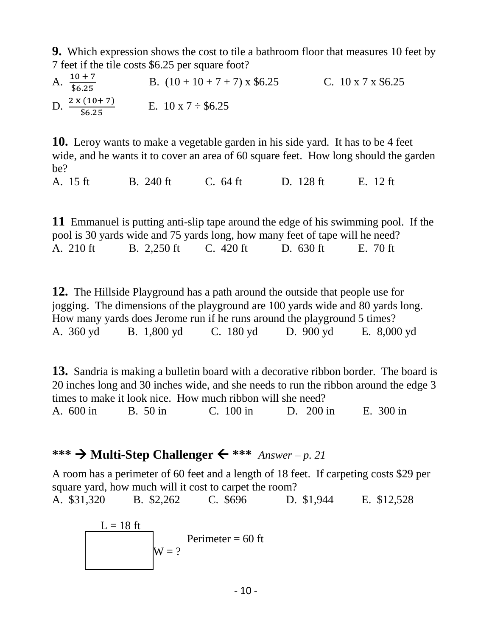**9.** Which expression shows the cost to tile a bathroom floor that measures 10 feet by 7 feet if the tile costs \$6.25 per square foot?

A.  $\frac{10+7}{\$6.25}$ B.  $(10 + 10 + 7 + 7) \times $6.25$  C.  $10 \times 7 \times $6.25$ D.  $\frac{2 \times (10+7)}{$6.25}$ E.  $10 \times 7 \div $6.25$ 

**10.** Leroy wants to make a vegetable garden in his side yard. It has to be 4 feet wide, and he wants it to cover an area of 60 square feet. How long should the garden be?

A. 15 ft B. 240 ft C. 64 ft D. 128 ft E. 12 ft

**11** Emmanuel is putting anti-slip tape around the edge of his swimming pool. If the pool is 30 yards wide and 75 yards long, how many feet of tape will he need? A. 210 ft B. 2,250 ft C. 420 ft D. 630 ft E. 70 ft

**12.** The Hillside Playground has a path around the outside that people use for jogging. The dimensions of the playground are 100 yards wide and 80 yards long. How many yards does Jerome run if he runs around the playground 5 times? A. 360 yd B. 1,800 yd C. 180 yd D. 900 yd E. 8,000 yd

**13.** Sandria is making a bulletin board with a decorative ribbon border. The board is 20 inches long and 30 inches wide, and she needs to run the ribbon around the edge 3 times to make it look nice. How much ribbon will she need? A. 600 in B. 50 in C. 100 in D. 200 in E. 300 in

### \*\*\*  $\rightarrow$  **Multi-Step Challenger**  $\leftarrow$  \*\*\* *Answer* – *p. 21*

A room has a perimeter of 60 feet and a length of 18 feet. If carpeting costs \$29 per square yard, how much will it cost to carpet the room?

A. \$31,320 B. \$2,262 C. \$696 D. \$1,944 E. \$12,528

$$
L = 18 \text{ ft}
$$
  
Perimeter = 60 ft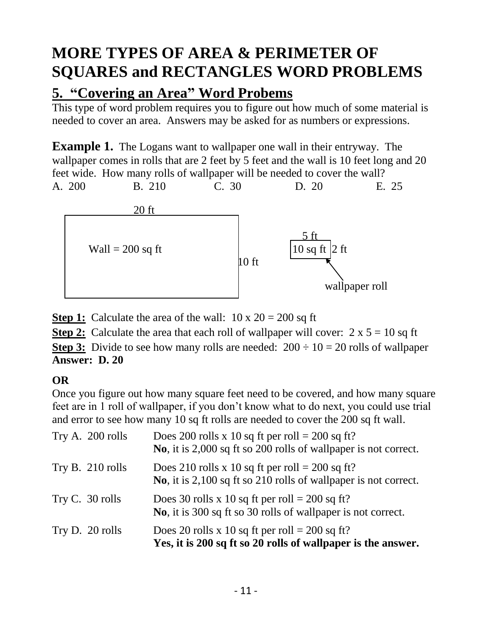# **MORE TYPES OF AREA & PERIMETER OF SQUARES and RECTANGLES WORD PROBLEMS**

# **5. "Covering an Area" Word Probems**

This type of word problem requires you to figure out how much of some material is needed to cover an area. Answers may be asked for as numbers or expressions.

**Example 1.** The Logans want to wallpaper one wall in their entryway. The wallpaper comes in rolls that are 2 feet by 5 feet and the wall is 10 feet long and 20 feet wide. How many rolls of wallpaper will be needed to cover the wall? A. 200 B. 210 C. 30 D. 20 E. 25



**Step 1:** Calculate the area of the wall:  $10 \times 20 = 200$  sq ft

**Step 2:** Calculate the area that each roll of wallpaper will cover:  $2 \times 5 = 10$  sq ft

**Step 3:** Divide to see how many rolls are needed:  $200 \div 10 = 20$  rolls of wallpaper **Answer: D. 20**

### **OR**

Once you figure out how many square feet need to be covered, and how many square feet are in 1 roll of wallpaper, if you don't know what to do next, you could use trial and error to see how many 10 sq ft rolls are needed to cover the 200 sq ft wall.

| Try A. 200 rolls | Does 200 rolls x 10 sq ft per roll = 200 sq ft?<br>No, it is 2,000 sq ft so 200 rolls of wallpaper is not correct. |
|------------------|--------------------------------------------------------------------------------------------------------------------|
| Try B. 210 rolls | Does 210 rolls x 10 sq ft per roll = 200 sq ft?<br>No, it is 2,100 sq ft so 210 rolls of wallpaper is not correct. |
| Try C. 30 rolls  | Does 30 rolls x 10 sq ft per roll = 200 sq ft?<br>No, it is 300 sq ft so 30 rolls of wallpaper is not correct.     |
| Try D. 20 rolls  | Does 20 rolls x 10 sq ft per roll = 200 sq ft?<br>Yes, it is 200 sq ft so 20 rolls of wallpaper is the answer.     |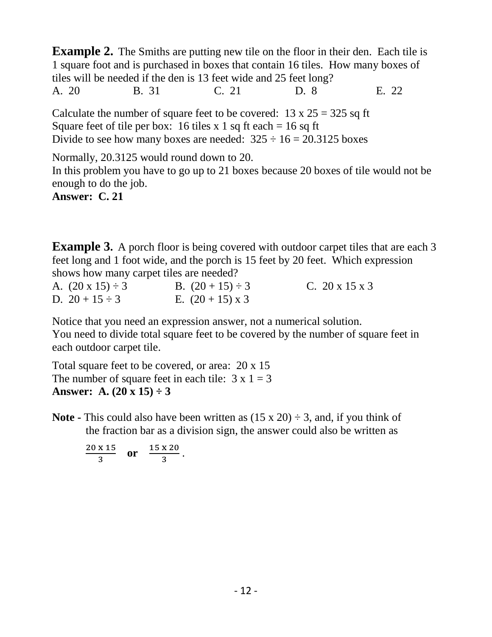**Example 2.** The Smiths are putting new tile on the floor in their den. Each tile is 1 square foot and is purchased in boxes that contain 16 tiles. How many boxes of tiles will be needed if the den is 13 feet wide and 25 feet long? A. 20 B. 31 C. 21 D. 8 E. 22

Calculate the number of square feet to be covered:  $13 \times 25 = 325$  sq ft Square feet of tile per box: 16 tiles x 1 sq ft each = 16 sq ft Divide to see how many boxes are needed:  $325 \div 16 = 20.3125$  boxes

Normally, 20.3125 would round down to 20. In this problem you have to go up to 21 boxes because 20 boxes of tile would not be enough to do the job.

**Answer: C. 21**

**Example 3.** A porch floor is being covered with outdoor carpet tiles that are each 3 feet long and 1 foot wide, and the porch is 15 feet by 20 feet. Which expression shows how many carpet tiles are needed?

| A. $(20 \times 15) \div 3$ | B. $(20 + 15) \div 3$   | C. $20 \times 15 \times 3$ |
|----------------------------|-------------------------|----------------------------|
| D. $20 + 15 \div 3$        | E. $(20 + 15) \times 3$ |                            |

Notice that you need an expression answer, not a numerical solution. You need to divide total square feet to be covered by the number of square feet in each outdoor carpet tile.

Total square feet to be covered, or area: 20 x 15 The number of square feet in each tile:  $3 \times 1 = 3$ **Answer:** A.  $(20 \times 15) \div 3$ 

**Note -** This could also have been written as  $(15 \times 20) \div 3$ , and, if you think of the fraction bar as a division sign, the answer could also be written as

20 x 15  $\frac{x \cdot 15}{3}$  or  $\frac{15 x \cdot 20}{3}$  $\frac{120}{3}$ .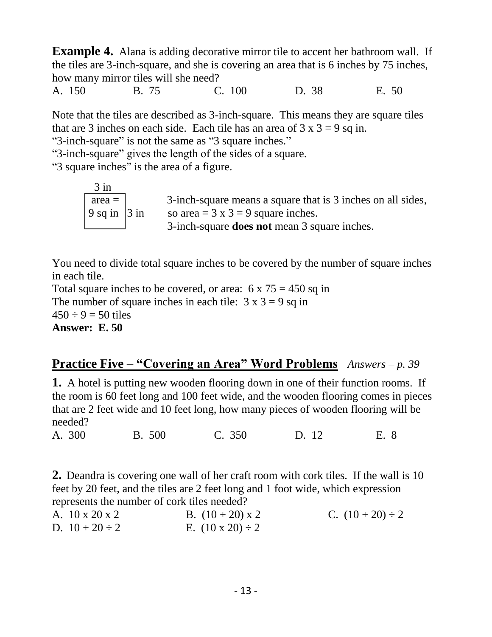**Example 4.** Alana is adding decorative mirror tile to accent her bathroom wall. If the tiles are 3-inch-square, and she is covering an area that is 6 inches by 75 inches, how many mirror tiles will she need?

A. 150 B. 75 C. 100 D. 38 E. 50

Note that the tiles are described as 3-inch-square. This means they are square tiles that are 3 inches on each side. Each tile has an area of  $3 \times 3 = 9$  sq in.

"3-inch-square" is not the same as "3 square inches."

"3-inch-square" gives the length of the sides of a square.

"3 square inches" is the area of a figure.

| $3$ in                       |                                                             |
|------------------------------|-------------------------------------------------------------|
| $\alpha =$                   | 3-inch-square means a square that is 3 inches on all sides, |
| $\vert 9$ sq in $\vert 3$ in | so area = $3 \times 3 = 9$ square inches.                   |
|                              | 3-inch-square <b>does not</b> mean 3 square inches.         |

You need to divide total square inches to be covered by the number of square inches in each tile.

Total square inches to be covered, or area:  $6 \times 75 = 450$  sq in The number of square inches in each tile:  $3 \times 3 = 9$  sq in  $450 \div 9 = 50$  tiles **Answer: E. 50**

### **Practice Five – "Covering an Area" Word Problems** *Answers – p. 39*

**1.** A hotel is putting new wooden flooring down in one of their function rooms. If the room is 60 feet long and 100 feet wide, and the wooden flooring comes in pieces that are 2 feet wide and 10 feet long, how many pieces of wooden flooring will be needed?

A. 300 B. 500 C. 350 D. 12 E. 8

**2.** Deandra is covering one wall of her craft room with cork tiles. If the wall is 10 feet by 20 feet, and the tiles are 2 feet long and 1 foot wide, which expression represents the number of cork tiles needed?

| A. 10 x 20 x 2      | B. $(10 + 20) \times 2$    | C. $(10 + 20) \div 2$ |
|---------------------|----------------------------|-----------------------|
| D. $10 + 20 \div 2$ | E. $(10 \times 20) \div 2$ |                       |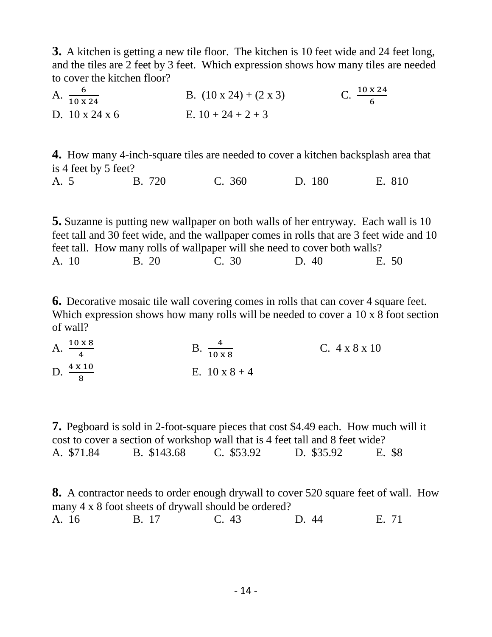**3.** A kitchen is getting a new tile floor. The kitchen is 10 feet wide and 24 feet long, and the tiles are 2 feet by 3 feet. Which expression shows how many tiles are needed to cover the kitchen floor?

A.  $\frac{6}{10 \times 24}$ B.  $(10 \times 24) + (2 \times 3)$ 10 x 24 6 D.  $10 \times 24 \times 6$  E.  $10 + 24 + 2 + 3$ 

**4.** How many 4-inch-square tiles are needed to cover a kitchen backsplash area that is 4 feet by 5 feet?

A. 5 B. 720 C. 360 D. 180 E. 810

**5.** Suzanne is putting new wallpaper on both walls of her entryway. Each wall is 10 feet tall and 30 feet wide, and the wallpaper comes in rolls that are 3 feet wide and 10 feet tall. How many rolls of wallpaper will she need to cover both walls? A. 10 B. 20 C. 30 D. 40 E. 50

**6.** Decorative mosaic tile wall covering comes in rolls that can cover 4 square feet. Which expression shows how many rolls will be needed to cover a 10 x 8 foot section of wall?

A.  $\frac{10 \times 8}{4}$  $B. \ \frac{4}{10 \times 8}$  C. 4 x 8 x 10 D.  $\frac{4 \times 10}{8}$ E.  $10 \times 8 + 4$ 

**7.** Pegboard is sold in 2-foot-square pieces that cost \$4.49 each. How much will it cost to cover a section of workshop wall that is 4 feet tall and 8 feet wide? A. \$71.84 B. \$143.68 C. \$53.92 D. \$35.92 E. \$8

**8.** A contractor needs to order enough drywall to cover 520 square feet of wall. How many 4 x 8 foot sheets of drywall should be ordered? A. 16 B. 17 C. 43 D. 44 E. 71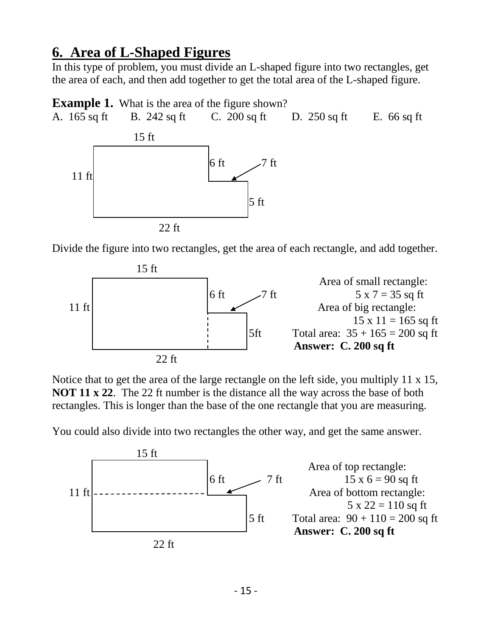### **6. Area of L-Shaped Figures**

In this type of problem, you must divide an L-shaped figure into two rectangles, get the area of each, and then add together to get the total area of the L-shaped figure.

**Example 1.** What is the area of the figure shown? A. 165 sq ft B. 242 sq ft C. 200 sq ft D. 250 sq ft E. 66 sq ft 15 ft 6 ft7 ft 11 ft 5 ft 22 ft

Divide the figure into two rectangles, get the area of each rectangle, and add together.



Notice that to get the area of the large rectangle on the left side, you multiply 11 x 15, **NOT 11 x 22**. The 22 ft number is the distance all the way across the base of both rectangles. This is longer than the base of the one rectangle that you are measuring.

You could also divide into two rectangles the other way, and get the same answer.

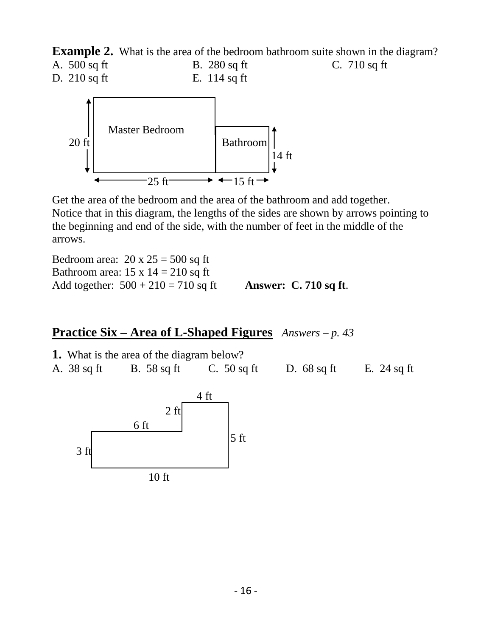**Example 2.** What is the area of the bedroom bathroom suite shown in the diagram?





Get the area of the bedroom and the area of the bathroom and add together. Notice that in this diagram, the lengths of the sides are shown by arrows pointing to the beginning and end of the side, with the number of feet in the middle of the arrows.

Bedroom area:  $20 \times 25 = 500$  sq ft Bathroom area:  $15 \times 14 = 210$  sq ft Add together: 500 + 210 = 710 sq ft **Answer: C. 710 sq ft**.

### **Practice Six – Area of L-Shaped Figures** *Answers – p. 43*

|             | <b>1.</b> What is the area of the diagram below? |               |               |               |
|-------------|--------------------------------------------------|---------------|---------------|---------------|
| A. 38 sq ft | B. 58 sq ft                                      | C. $50$ sq ft | D. $68$ sq ft | E. $24$ sq ft |

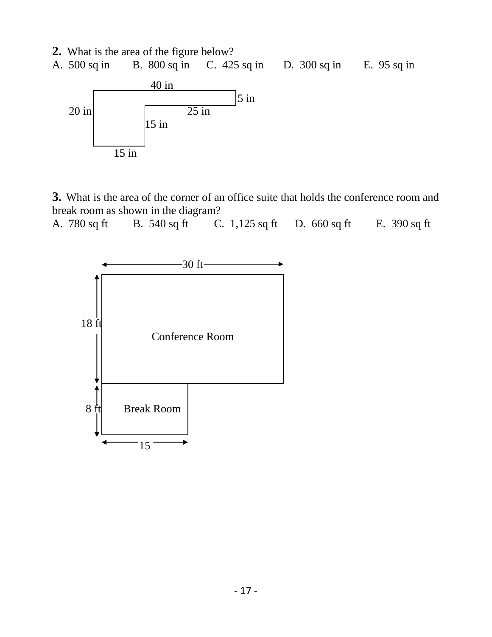**2.** What is the area of the figure below?





**3.** What is the area of the corner of an office suite that holds the conference room and break room as shown in the diagram?

A. 780 sq ft B. 540 sq ft C. 1,125 sq ft D. 660 sq ft E. 390 sq ft

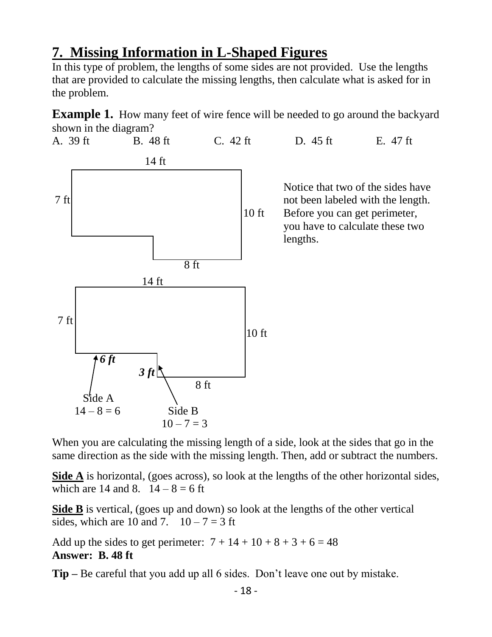## **7. Missing Information in L-Shaped Figures**

In this type of problem, the lengths of some sides are not provided. Use the lengths that are provided to calculate the missing lengths, then calculate what is asked for in the problem.

**Example 1.** How many feet of wire fence will be needed to go around the backyard shown in the diagram?



When you are calculating the missing length of a side, look at the sides that go in the same direction as the side with the missing length. Then, add or subtract the numbers.

**Side A** is horizontal, (goes across), so look at the lengths of the other horizontal sides, which are 14 and 8.  $14 - 8 = 6$  ft

**Side B** is vertical, (goes up and down) so look at the lengths of the other vertical sides, which are 10 and 7.  $10-7=3$  ft

Add up the sides to get perimeter:  $7 + 14 + 10 + 8 + 3 + 6 = 48$ **Answer: B. 48 ft** 

**Tip –** Be careful that you add up all 6 sides. Don't leave one out by mistake.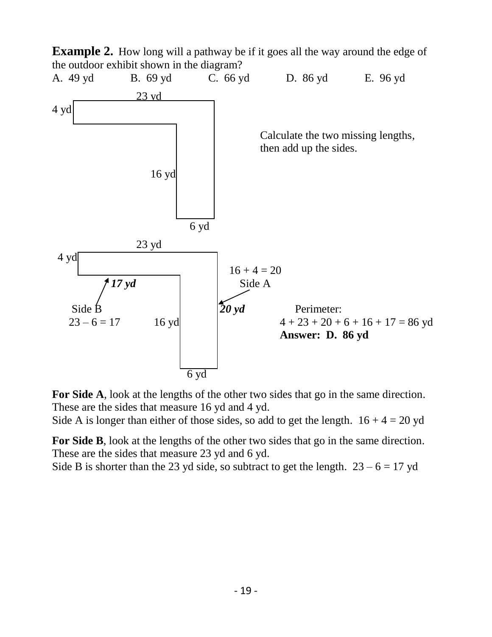

**For Side A**, look at the lengths of the other two sides that go in the same direction. These are the sides that measure 16 yd and 4 yd.

Side A is longer than either of those sides, so add to get the length.  $16 + 4 = 20$  yd

**For Side B**, look at the lengths of the other two sides that go in the same direction. These are the sides that measure 23 yd and 6 yd.

Side B is shorter than the 23 yd side, so subtract to get the length.  $23 - 6 = 17$  yd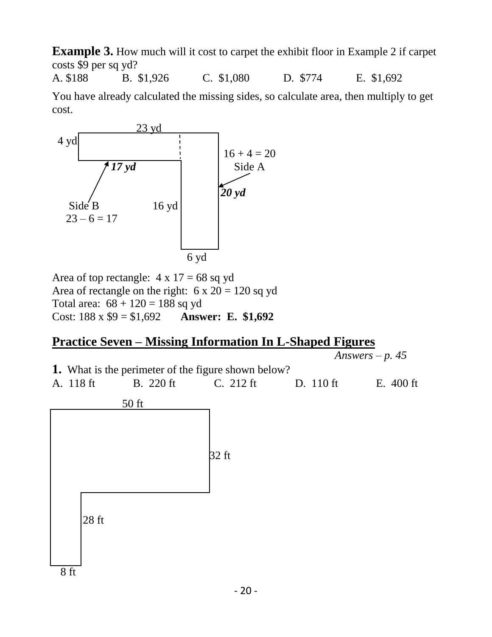**Example 3.** How much will it cost to carpet the exhibit floor in Example 2 if carpet costs \$9 per sq yd?

A. \$188 B. \$1,926 C. \$1,080 D. \$774 E. \$1,692

You have already calculated the missing sides, so calculate area, then multiply to get cost.



Area of top rectangle:  $4 \times 17 = 68$  sq yd Area of rectangle on the right:  $6 \times 20 = 120$  sq yd Total area:  $68 + 120 = 188$  sq yd Cost: 188 x \$9 = \$1,692 **Answer: E. \$1,692**

### **Practice Seven – Missing Information In L-Shaped Figures**

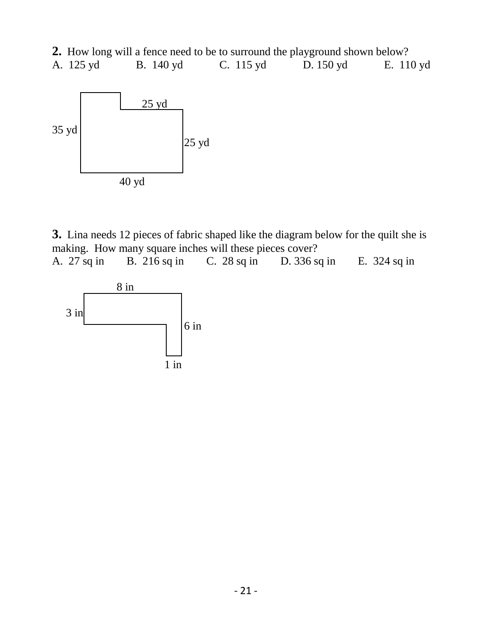**2.** How long will a fence need to be to surround the playground shown below?



**3.** Lina needs 12 pieces of fabric shaped like the diagram below for the quilt she is making. How many square inches will these pieces cover? A. 27 sq in B. 216 sq in C. 28 sq in D. 336 sq in E. 324 sq in

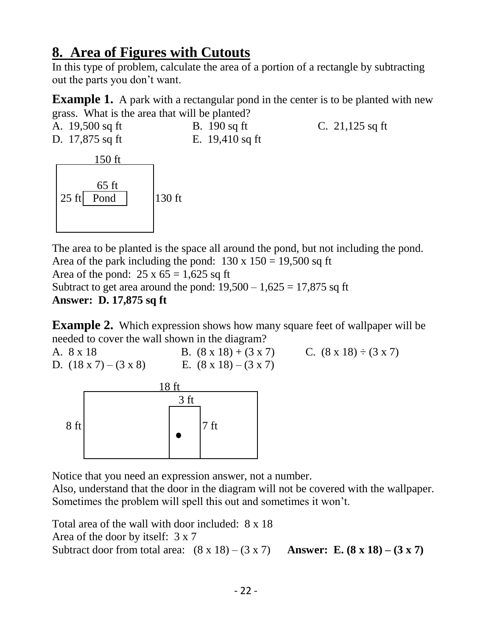## **8. Area of Figures with Cutouts**

In this type of problem, calculate the area of a portion of a rectangle by subtracting out the parts you don't want.

**Example 1.** A park with a rectangular pond in the center is to be planted with new grass. What is the area that will be planted?

A. 19,500 sq ft B. 190 sq ft C. 21,125 sq ft D. 17,875 sq ft E. 19,410 sq ft



The area to be planted is the space all around the pond, but not including the pond. Area of the park including the pond:  $130 \times 150 = 19,500$  sq ft Area of the pond:  $25 \times 65 = 1,625$  sq ft Subtract to get area around the pond:  $19,500 - 1,625 = 17,875$  sq ft **Answer: D. 17,875 sq ft** 

**Example 2.** Which expression shows how many square feet of wallpaper will be needed to cover the wall shown in the diagram?

A.  $8 \times 18$  B.  $(8 \times 18) + (3 \times 7)$  C.  $(8 \times 18) \div (3 \times 7)$ D.  $(18 \times 7) - (3 \times 8)$  E.  $(8 \times 18) - (3 \times 7)$ 



Notice that you need an expression answer, not a number.

Also, understand that the door in the diagram will not be covered with the wallpaper. Sometimes the problem will spell this out and sometimes it won't.

Total area of the wall with door included: 8 x 18 Area of the door by itself: 3 x 7 Subtract door from total area:  $(8 \times 18) - (3 \times 7)$  **Answer: E.**  $(8 \times 18) - (3 \times 7)$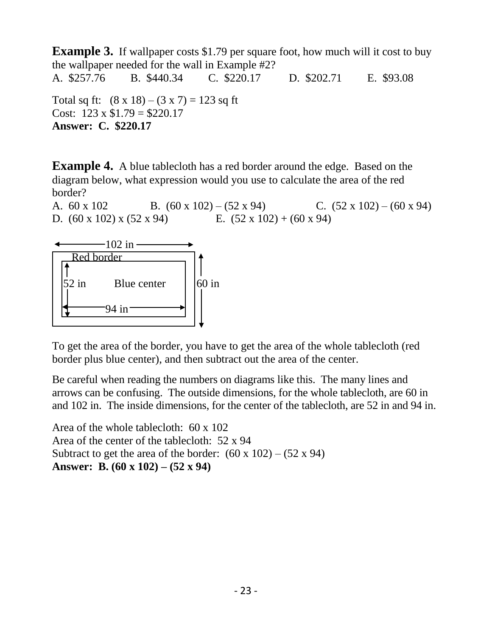**Example 3.** If wallpaper costs \$1.79 per square foot, how much will it cost to buy the wallpaper needed for the wall in Example #2? A. \$257.76 B. \$440.34 C. \$220.17 D. \$202.71 E. \$93.08 Total sq ft:  $(8 \times 18) - (3 \times 7) = 123$  sq ft Cost:  $123 \times $1.79 = $220.17$ **Answer: C. \$220.17**

**Example 4.** A blue tablecloth has a red border around the edge. Based on the diagram below, what expression would you use to calculate the area of the red border?

A.  $60 \times 102$  B.  $(60 \times 102) - (52 \times 94)$  C.  $(52 \times 102) - (60 \times 94)$ D.  $(60 \times 102) \times (52 \times 94)$  E.  $(52 \times 102) + (60 \times 94)$ 



To get the area of the border, you have to get the area of the whole tablecloth (red border plus blue center), and then subtract out the area of the center.

Be careful when reading the numbers on diagrams like this. The many lines and arrows can be confusing. The outside dimensions, for the whole tablecloth, are 60 in and 102 in. The inside dimensions, for the center of the tablecloth, are 52 in and 94 in.

Area of the whole tablecloth: 60 x 102 Area of the center of the tablecloth: 52 x 94 Subtract to get the area of the border:  $(60 \times 102) - (52 \times 94)$ **Answer: B. (60 x 102) – (52 x 94)**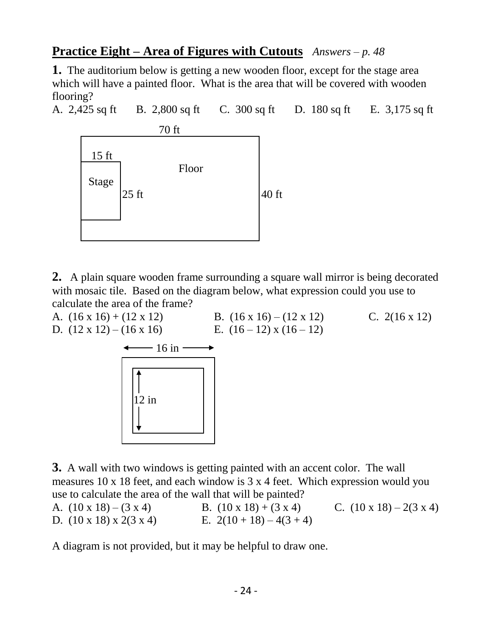### **Practice Eight – Area of Figures with Cutouts** *Answers – p. 48*

**1.** The auditorium below is getting a new wooden floor, except for the stage area which will have a painted floor. What is the area that will be covered with wooden flooring?

A. 2,425 sq ft B. 2,800 sq ft C. 300 sq ft D. 180 sq ft E. 3,175 sq ft



**2.** A plain square wooden frame surrounding a square wall mirror is being decorated with mosaic tile. Based on the diagram below, what expression could you use to calculate the area of the frame?

A.  $(16 \times 16) + (12 \times 12)$  B.  $(16 \times 16) - (12 \times 12)$  C.  $2(16 \times 12)$ D.  $(12 \times 12) - (16 \times 16)$  E.  $(16-12) \times (16-12)$  $-16$  in  $-$ 12 in

**3.** A wall with two windows is getting painted with an accent color. The wall measures 10 x 18 feet, and each window is 3 x 4 feet. Which expression would you use to calculate the area of the wall that will be painted?

A.  $(10 \times 18) - (3 \times 4)$  B.  $(10 \times 18) + (3 \times 4)$  C.  $(10 \times 18) - 2(3 \times 4)$ D.  $(10 \times 18) \times 2(3 \times 4)$  E.  $2(10 + 18) - 4(3 + 4)$ 

A diagram is not provided, but it may be helpful to draw one.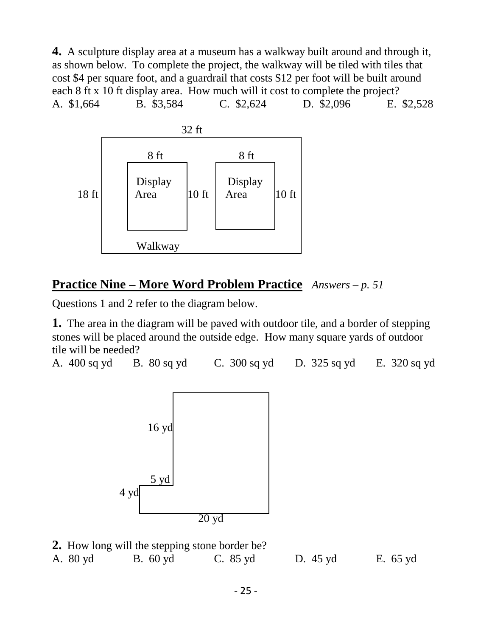**4.** A sculpture display area at a museum has a walkway built around and through it, as shown below. To complete the project, the walkway will be tiled with tiles that cost \$4 per square foot, and a guardrail that costs \$12 per foot will be built around each 8 ft x 10 ft display area. How much will it cost to complete the project? A. \$1,664 B. \$3,584 C. \$2,624 D. \$2,096 E. \$2,528



### **Practice Nine – More Word Problem Practice** *Answers – p. 51*

Questions 1 and 2 refer to the diagram below.

**1.** The area in the diagram will be paved with outdoor tile, and a border of stepping stones will be placed around the outside edge. How many square yards of outdoor tile will be needed?

A. 400 sq yd B. 80 sq yd C. 300 sq yd D. 325 sq yd E. 320 sq yd



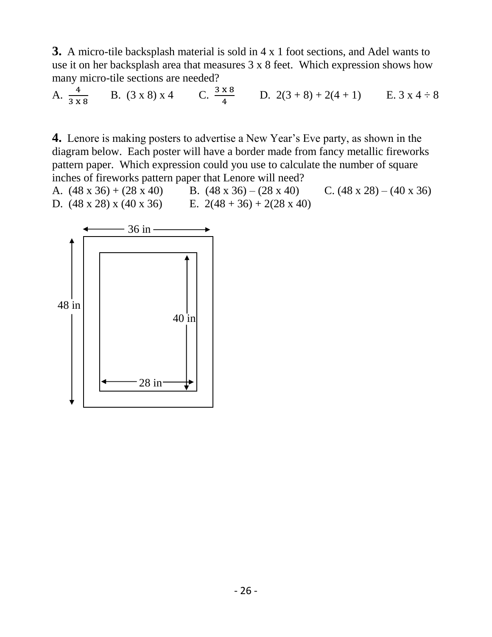**3.** A micro-tile backsplash material is sold in 4 x 1 foot sections, and Adel wants to use it on her backsplash area that measures 3 x 8 feet. Which expression shows how many micro-tile sections are needed?

A.  $\frac{4}{3 \times 8}$ B.  $(3 \times 8) \times 4$  C.  $\frac{3 \times 8}{4}$  $\frac{x}{4}$  D. 2(3+8) + 2(4+1) E. 3 x 4 ÷ 8

**4.** Lenore is making posters to advertise a New Year's Eve party, as shown in the diagram below. Each poster will have a border made from fancy metallic fireworks pattern paper. Which expression could you use to calculate the number of square inches of fireworks pattern paper that Lenore will need?

A.  $(48 \times 36) + (28 \times 40)$  B.  $(48 \times 36) - (28 \times 40)$  C.  $(48 \times 28) - (40 \times 36)$ D.  $(48 \times 28) \times (40 \times 36)$  E.  $2(48 + 36) + 2(28 \times 40)$ 

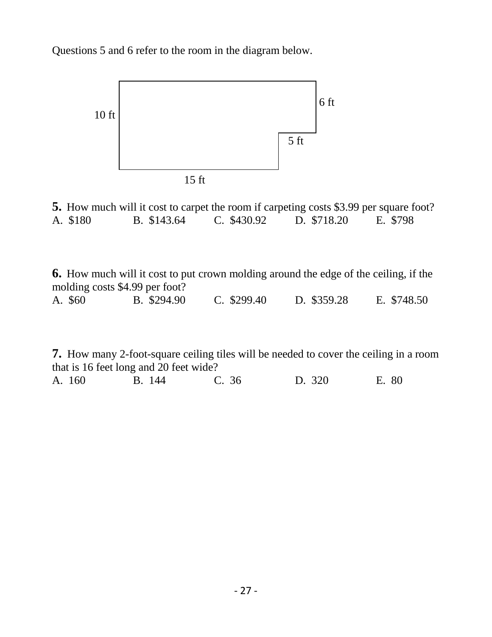Questions 5 and 6 refer to the room in the diagram below.



**5.** How much will it cost to carpet the room if carpeting costs \$3.99 per square foot? A. \$180 B. \$143.64 C. \$430.92 D. \$718.20 E. \$798

**6.** How much will it cost to put crown molding around the edge of the ceiling, if the molding costs \$4.99 per foot? A. \$60 B. \$294.90 C. \$299.40 D. \$359.28 E. \$748.50

**7.** How many 2-foot-square ceiling tiles will be needed to cover the ceiling in a room that is 16 feet long and 20 feet wide? A. 160 B. 144 C. 36 D. 320 E. 80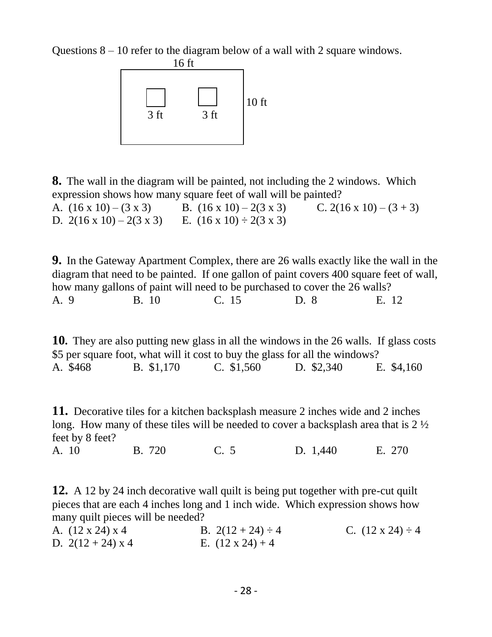Questions  $8 - 10$  refer to the diagram below of a wall with 2 square windows.



**8.** The wall in the diagram will be painted, not including the 2 windows. Which expression shows how many square feet of wall will be painted? A.  $(16 \times 10) - (3 \times 3)$  B.  $(16 \times 10) - 2(3 \times 3)$  C.  $2(16 \times 10) - (3 + 3)$ D.  $2(16 \times 10) - 2(3 \times 3)$  E.  $(16 \times 10) \div 2(3 \times 3)$ 

**9.** In the Gateway Apartment Complex, there are 26 walls exactly like the wall in the diagram that need to be painted. If one gallon of paint covers 400 square feet of wall, how many gallons of paint will need to be purchased to cover the 26 walls? A. 9 B. 10 C. 15 D. 8 E. 12

**10.** They are also putting new glass in all the windows in the 26 walls. If glass costs \$5 per square foot, what will it cost to buy the glass for all the windows? A. \$468 B. \$1,170 C. \$1,560 D. \$2,340 E. \$4,160

**11.** Decorative tiles for a kitchen backsplash measure 2 inches wide and 2 inches long. How many of these tiles will be needed to cover a backsplash area that is 2 ½ feet by 8 feet?

A. 10 B. 720 C. 5 D. 1,440 E. 270

**12.** A 12 by 24 inch decorative wall quilt is being put together with pre-cut quilt pieces that are each 4 inches long and 1 inch wide. Which expression shows how many quilt pieces will be needed?

| A. $(12 \times 24) \times 4$ | B. $2(12 + 24) \div 4$  | C. $(12 \times 24) \div 4$ |
|------------------------------|-------------------------|----------------------------|
| D. $2(12 + 24) \times 4$     | E. $(12 \times 24) + 4$ |                            |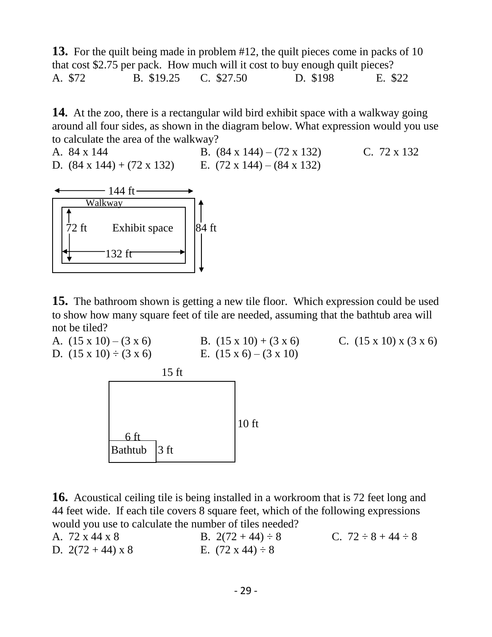**13.** For the quilt being made in problem #12, the quilt pieces come in packs of 10 that cost \$2.75 per pack. How much will it cost to buy enough quilt pieces? A. \$72 B. \$19.25 C. \$27.50 D. \$198 E. \$22

**14.** At the zoo, there is a rectangular wild bird exhibit space with a walkway going around all four sides, as shown in the diagram below. What expression would you use to calculate the area of the walkway?

A. 84 x 144 B. (84 x 144) – (72 x 132) C. 72 x 132 D.  $(84 \times 144) + (72 \times 132)$  E.  $(72 \times 144) - (84 \times 132)$ 



**15.** The bathroom shown is getting a new tile floor. Which expression could be used to show how many square feet of tile are needed, assuming that the bathtub area will not be tiled?



**16.** Acoustical ceiling tile is being installed in a workroom that is 72 feet long and 44 feet wide. If each tile covers 8 square feet, which of the following expressions would you use to calculate the number of tiles needed?

| A. 72 x 44 x 8         | B. $2(72 + 44) \div 8$     | C. $72 \div 8 + 44 \div 8$ |
|------------------------|----------------------------|----------------------------|
| D. $2(72+44) \times 8$ | E. $(72 \times 44) \div 8$ |                            |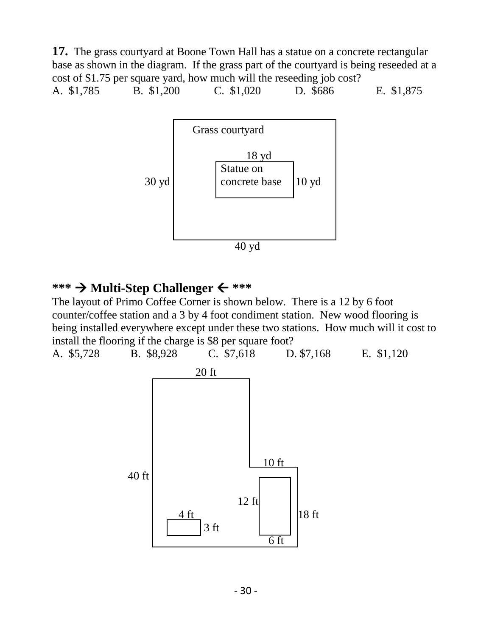**17.** The grass courtyard at Boone Town Hall has a statue on a concrete rectangular base as shown in the diagram. If the grass part of the courtyard is being reseeded at a cost of \$1.75 per square yard, how much will the reseeding job cost? A. \$1,785 B. \$1,200 C. \$1,020 D. \$686 E. \$1,875



#### **\*\*\* Multi-Step Challenger \*\*\***

The layout of Primo Coffee Corner is shown below. There is a 12 by 6 foot counter/coffee station and a 3 by 4 foot condiment station. New wood flooring is being installed everywhere except under these two stations. How much will it cost to install the flooring if the charge is \$8 per square foot?

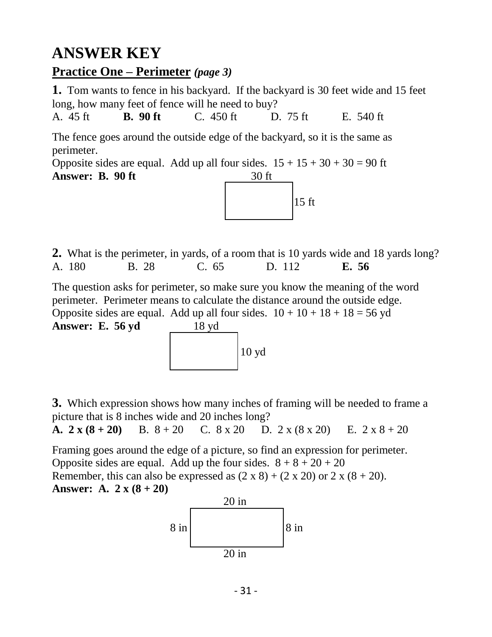# **ANSWER KEY**

### **Practice One – Perimeter** *(page 3)*

**1.** Tom wants to fence in his backyard. If the backyard is 30 feet wide and 15 feet long, how many feet of fence will he need to buy?

A. 45 ft **B. 90 ft** C. 450 ft D. 75 ft E. 540 ft

The fence goes around the outside edge of the backyard, so it is the same as perimeter.

Opposite sides are equal. Add up all four sides.  $15 + 15 + 30 + 30 = 90$  ft **Answer: B. 90 ft** 30 ft



**2.** What is the perimeter, in yards, of a room that is 10 yards wide and 18 yards long? A. 180 B. 28 C. 65 D. 112 **E. 56**

The question asks for perimeter, so make sure you know the meaning of the word perimeter. Perimeter means to calculate the distance around the outside edge. Opposite sides are equal. Add up all four sides.  $10 + 10 + 18 + 18 = 56$  yd **Answer: E. 56 yd** 18 yd



**3.** Which expression shows how many inches of framing will be needed to frame a picture that is 8 inches wide and 20 inches long?

**A.**  $2 \times (8 + 20)$  B.  $8 + 20$  C.  $8 \times 20$  D.  $2 \times (8 \times 20)$  E.  $2 \times 8 + 20$ 

Framing goes around the edge of a picture, so find an expression for perimeter. Opposite sides are equal. Add up the four sides.  $8 + 8 + 20 + 20$ Remember, this can also be expressed as  $(2 \times 8) + (2 \times 20)$  or  $2 \times (8 + 20)$ . **Answer: A.**  $2 x (8 + 20)$ 

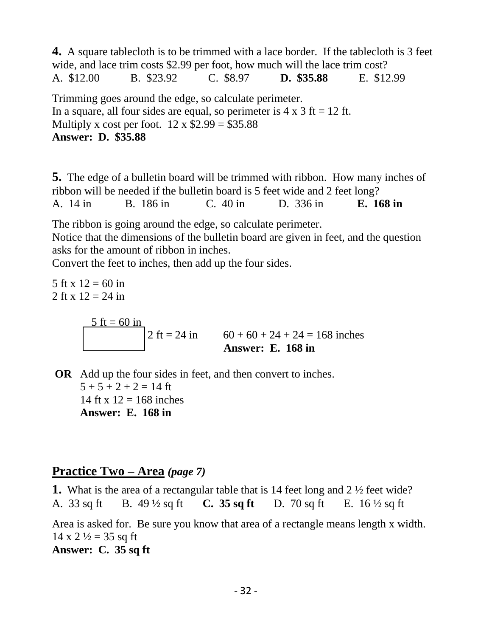**4.** A square tablecloth is to be trimmed with a lace border. If the tablecloth is 3 feet wide, and lace trim costs \$2.99 per foot, how much will the lace trim cost? A. \$12.00 B. \$23.92 C. \$8.97 **D. \$35.88** E. \$12.99 Trimming goes around the edge, so calculate perimeter. In a square, all four sides are equal, so perimeter is  $4 \times 3$  ft = 12 ft. Multiply x cost per foot.  $12 \times $2.99 = $35.88$ **Answer: D. \$35.88**

**5.** The edge of a bulletin board will be trimmed with ribbon. How many inches of ribbon will be needed if the bulletin board is 5 feet wide and 2 feet long? A. 14 in B. 186 in C. 40 in D. 336 in **E. 168 in**

The ribbon is going around the edge, so calculate perimeter. Notice that the dimensions of the bulletin board are given in feet, and the question asks for the amount of ribbon in inches.

Convert the feet to inches, then add up the four sides.

5 ft x  $12 = 60$  in 2 ft x  $12 = 24$  in  $\frac{5 \text{ ft} = 60 \text{ in}}{2 \text{ ft} = 24 \text{ in}}$  $60 + 60 + 24 + 24 = 168$  inches **Answer: E. 168 in**

**OR** Add up the four sides in feet, and then convert to inches.  $5 + 5 + 2 + 2 = 14$  ft 14 ft x  $12 = 168$  inches **Answer: E. 168 in**

### **Practice Two – Area** *(page 7)*

**1.** What is the area of a rectangular table that is 14 feet long and 2 ½ feet wide? A. 33 sq ft B. 49 ½ sq ft **C. 35 sq ft** D. 70 sq ft E. 16 ½ sq ft Area is asked for. Be sure you know that area of a rectangle means length x width.  $14 \times 2 \frac{1}{2} = 35$  sq ft **Answer: C. 35 sq ft**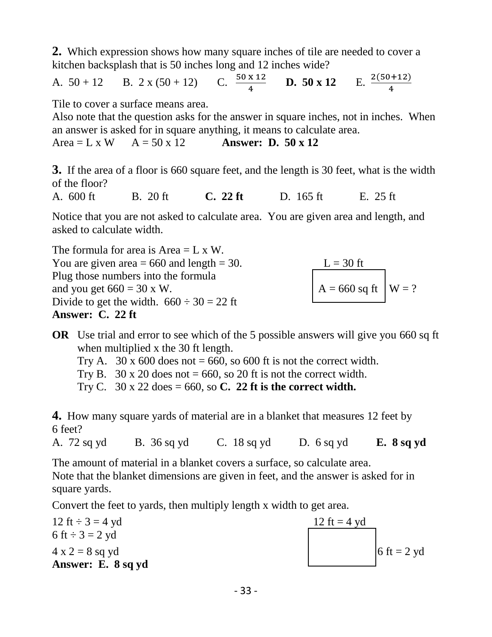**2.** Which expression shows how many square inches of tile are needed to cover a kitchen backsplash that is 50 inches long and 12 inches wide?

A.  $50 + 12$  B.  $2 \times (50 + 12)$  C.  $\frac{50 \times 12}{4}$  **D.**  $50 \times 12$  E.  $\frac{2(50 + 12)}{4}$ 

Tile to cover a surface means area.

Also note that the question asks for the answer in square inches, not in inches. When an answer is asked for in square anything, it means to calculate area.

Area = L x W  $A = 50 \times 12$  **Answer: D. 50 x 12** 

**3.** If the area of a floor is 660 square feet, and the length is 30 feet, what is the width of the floor?

A. 600 ft B. 20 ft **C. 22 ft** D. 165 ft E. 25 ft

Notice that you are not asked to calculate area. You are given area and length, and asked to calculate width.

The formula for area is  $Area = L \times W$ . You are given area = 660 and length = 30. L = 30 ft<br>Plug those numbers into the formula<br>and you get 660 = 30 x W.  $A = 660$  sq ft  $W = ?$ Plug those numbers into the formula and you get  $660 = 30$  x W. Divide to get the width.  $660 \div 30 = 22$  ft **Answer: C. 22 ft**

**OR** Use trial and error to see which of the 5 possible answers will give you 660 sq ft when multiplied x the 30 ft length.

Try A. 30 x 600 does not = 660, so 600 ft is not the correct width.

Try B.  $30 \times 20$  does not = 660, so 20 ft is not the correct width.

Try C. 30 x 22 does = 660, so **C. 22 ft is the correct width.**

**4.** How many square yards of material are in a blanket that measures 12 feet by 6 feet?

A. 72 sq yd B. 36 sq yd C. 18 sq yd D. 6 sq yd **E. 8 sq yd**

The amount of material in a blanket covers a surface, so calculate area. Note that the blanket dimensions are given in feet, and the answer is asked for in square yards.

Convert the feet to yards, then multiply length x width to get area.

12 ft  $\div$  3 = 4 yd 6 ft  $\div 3 = 2$  yd  $4 \times 2 = 8$  sq yd 6 ft = 2 yd **Answer: E. 8 sq yd**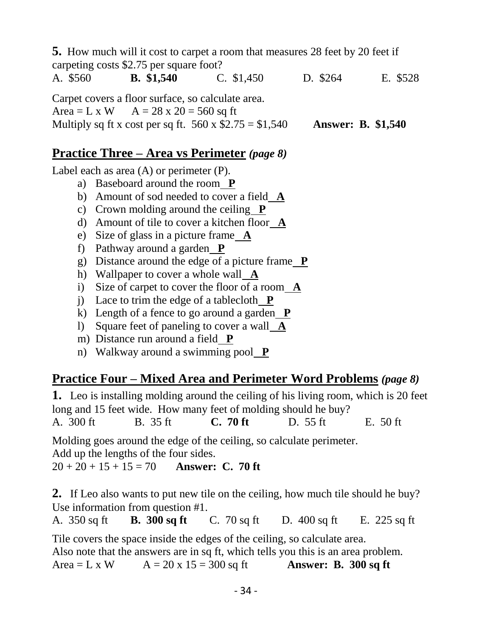|          | <b>5.</b> How much will it cost to carpet a room that measures 28 feet by 20 feet if |                    |          |
|----------|--------------------------------------------------------------------------------------|--------------------|----------|
|          | carpeting costs \$2.75 per square foot?                                              |                    |          |
| A. \$560 | <b>B.</b> \$1,540 C. \$1,450                                                         | D. \$264           | E. \$528 |
|          | Carpet covers a floor surface, so calculate area.                                    |                    |          |
|          | Area = L x W $A = 28$ x 20 = 560 sq ft                                               |                    |          |
|          | Multiply sq ft x cost per sq ft. $560 \times $2.75 = $1,540$                         | Answer: B. \$1,540 |          |
|          |                                                                                      |                    |          |

### **Practice Three – Area vs Perimeter** *(page 8)*

Label each as area (A) or perimeter (P).

- a) Baseboard around the room **P**
- b) Amount of sod needed to cover a field **A**
- c) Crown molding around the ceiling **P**
- d) Amount of tile to cover a kitchen floor **A**
- e) Size of glass in a picture frame **A**
- f) Pathway around a garden **P**
- g) Distance around the edge of a picture frame **P**
- h) Wallpaper to cover a whole wall **A**
- i) Size of carpet to cover the floor of a room **A**
- j) Lace to trim the edge of a tablecloth  $P$
- k) Length of a fence to go around a garden **P**
- l) Square feet of paneling to cover a wall **A**
- m) Distance run around a field **P**
- n) Walkway around a swimming pool **P**

### **Practice Four – Mixed Area and Perimeter Word Problems** *(page 8)*

**1.** Leo is installing molding around the ceiling of his living room, which is 20 feet long and 15 feet wide. How many feet of molding should he buy? A. 300 ft B. 35 ft **C. 70 ft** D. 55 ft E. 50 ft

Molding goes around the edge of the ceiling, so calculate perimeter.

Add up the lengths of the four sides.

 $20 + 20 + 15 + 15 = 70$  Answer: C. 70 ft

**2.** If Leo also wants to put new tile on the ceiling, how much tile should he buy? Use information from question #1.

A. 350 sq ft **B. 300 sq ft** C. 70 sq ft D. 400 sq ft E. 225 sq ft

Tile covers the space inside the edges of the ceiling, so calculate area. Also note that the answers are in sq ft, which tells you this is an area problem. Area = L x W  $A = 20x15 = 300$  sq ft **Answer: B. 300 sq ft**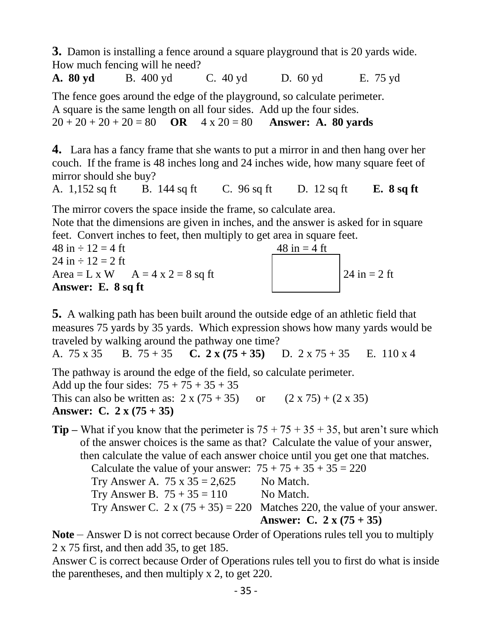**3.** Damon is installing a fence around a square playground that is 20 yards wide. How much fencing will he need?

**A. 80 yd** B. 400 yd C. 40 yd D. 60 yd E. 75 yd

The fence goes around the edge of the playground, so calculate perimeter. A square is the same length on all four sides. Add up the four sides.  $20 + 20 + 20 + 20 = 80$  **OR**  $4 \times 20 = 80$  **Answer: A. 80 yards** 

**4.** Lara has a fancy frame that she wants to put a mirror in and then hang over her couch. If the frame is 48 inches long and 24 inches wide, how many square feet of mirror should she buy?

A. 1,152 sq ft B. 144 sq ft C. 96 sq ft D. 12 sq ft **E. 8 sq ft**

The mirror covers the space inside the frame, so calculate area.

Note that the dimensions are given in inches, and the answer is asked for in square feet. Convert inches to feet, then multiply to get area in square feet.

 $48 \text{ in} \div 12 = 4 \text{ ft}$   $48 \text{ in} = 4 \text{ ft}$ 24 in  $\div$  12 = 2 ft Area = L x W  $A = 4x2 = 8$  sq ft  $24 \text{ in } = 2 \text{ ft}$ **Answer: E. 8 sq ft**



**5.** A walking path has been built around the outside edge of an athletic field that measures 75 yards by 35 yards. Which expression shows how many yards would be traveled by walking around the pathway one time?

A. 75 x 35 B. 75 + 35 **C. 2 x (75 + 35)** D. 2 x 75 + 35 E. 110 x 4

The pathway is around the edge of the field, so calculate perimeter.

Add up the four sides:  $75 + 75 + 35 + 35$ This can also be written as:  $2 \times (75 + 35)$  or  $(2 \times 75) + (2 \times 35)$ **Answer: C. 2 x (75 + 35)**

**Tip** – What if you know that the perimeter is  $75 + 75 + 35 + 35$ , but aren't sure which of the answer choices is the same as that? Calculate the value of your answer, then calculate the value of each answer choice until you get one that matches. Calculate the value of your answer:  $75 + 75 + 35 + 35 = 220$ Try Answer A.  $75 \times 35 = 2,625$  No Match. Try Answer B.  $75 + 35 = 110$  No Match. Try Answer C.  $2 \times (75 + 35) = 220$  Matches 220, the value of your answer. **Answer: C. 2 x (75 + 35)**

**Note** – Answer D is not correct because Order of Operations rules tell you to multiply 2 x 75 first, and then add 35, to get 185.

Answer C is correct because Order of Operations rules tell you to first do what is inside the parentheses, and then multiply x 2, to get 220.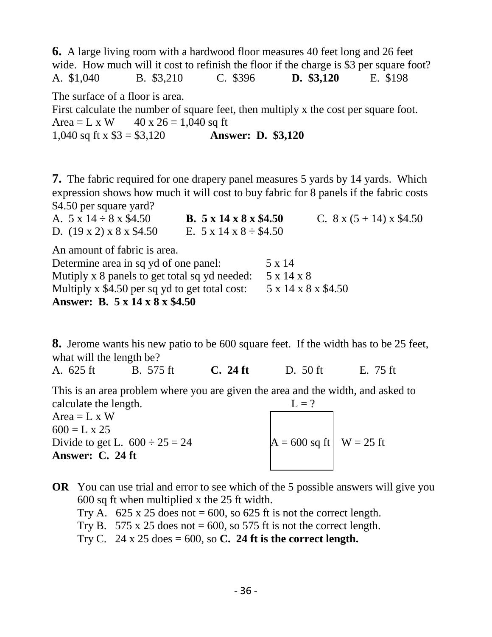**6.** A large living room with a hardwood floor measures 40 feet long and 26 feet wide. How much will it cost to refinish the floor if the charge is \$3 per square foot? A. \$1,040 B. \$3,210 C. \$396 **D. \$3,120** E. \$198 The surface of a floor is area. First calculate the number of square feet, then multiply x the cost per square foot. Area = L x W  $40 \times 26 = 1,040$  sq ft 1,040 sq ft x \$3 = \$3,120 **Answer: D. \$3,120**

**7.** The fabric required for one drapery panel measures 5 yards by 14 yards. Which expression shows how much it will cost to buy fabric for 8 panels if the fabric costs \$4.50 per square yard?

| A. $5 \times 14 \div 8 \times $4.50$           | B. $5 \times 14 \times 8 \times $4.50$ |                     | C. $8 \times (5 + 14) \times $4.50$ |
|------------------------------------------------|----------------------------------------|---------------------|-------------------------------------|
| D. $(19 \times 2) \times 8 \times $4.50$       | E. $5 \times 14 \times 8 \div $4.50$   |                     |                                     |
| An amount of fabric is area.                   |                                        |                     |                                     |
| Determine area in sq yd of one panel:          |                                        | 5 x 14              |                                     |
| Mutiply x 8 panels to get total sq yd needed:  |                                        | 5 x 14 x 8          |                                     |
| Multiply x \$4.50 per sq yd to get total cost: |                                        | 5 x 14 x 8 x \$4.50 |                                     |
| Answer: B. 5 x 14 x 8 x \$4.50                 |                                        |                     |                                     |

**8.** Jerome wants his new patio to be 600 square feet. If the width has to be 25 feet, what will the length be?

A. 625 ft B. 575 ft **C. 24 ft** D. 50 ft E. 75 ft

This is an area problem where you are given the area and the width, and asked to calculate the length.  $L = ?$ 

| $Area = L \times W$                 |                             |  |
|-------------------------------------|-----------------------------|--|
| $600 = L \times 25$                 |                             |  |
| Divide to get L. $600 \div 25 = 24$ | $A = 600$ sq ft $W = 25$ ft |  |
| Answer: C. 24 ft                    |                             |  |
|                                     |                             |  |

**OR** You can use trial and error to see which of the 5 possible answers will give you 600 sq ft when multiplied x the 25 ft width.

Try A.  $625 \times 25$  does not = 600, so 625 ft is not the correct length.

Try B. 575 x 25 does not  $= 600$ , so 575 ft is not the correct length.

Try C.  $24 \times 25$  does  $= 600$ , so **C. 24 ft is the correct length.**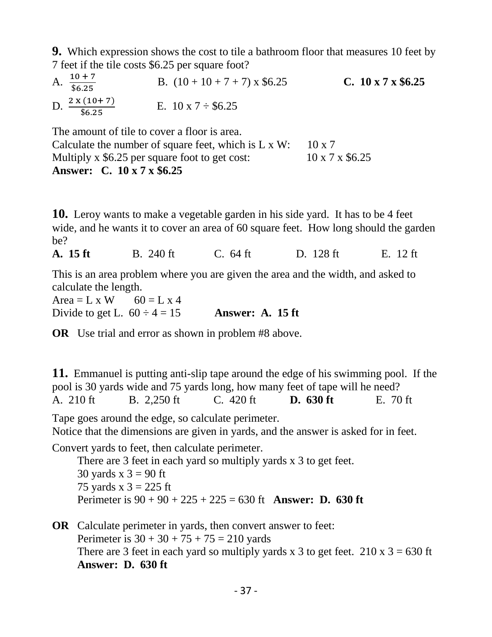**9.** Which expression shows the cost to tile a bathroom floor that measures 10 feet by 7 feet if the tile costs \$6.25 per square foot?

| A. $\frac{10+7}{$6.25}$            | B. $(10 + 10 + 7 + 7)$ x \$6.25 | C. $10 \times 7 \times $6.25$ |
|------------------------------------|---------------------------------|-------------------------------|
| D. $\frac{2 \times (10+7)}{$6.25}$ | E. $10 \times 7 \div \$6.25$    |                               |

The amount of tile to cover a floor is area.

Calculate the number of square feet, which is  $L \times W$ : 10 x 7 Multiply x  $$6.25$  per square foot to get cost: 10 x 7 x  $$6.25$ **Answer: C. 10 x 7 x \$6.25**

**10.** Leroy wants to make a vegetable garden in his side yard. It has to be 4 feet wide, and he wants it to cover an area of 60 square feet. How long should the garden be?

**A. 15 ft** B. 240 ft C. 64 ft D. 128 ft E. 12 ft

This is an area problem where you are given the area and the width, and asked to calculate the length.

Area = L x W  $60 =$  L x 4 Divide to get L.  $60 \div 4 = 15$  **Answer: A. 15 ft** 

**OR** Use trial and error as shown in problem #8 above.

**11.** Emmanuel is putting anti-slip tape around the edge of his swimming pool. If the pool is 30 yards wide and 75 yards long, how many feet of tape will he need? A. 210 ft B. 2,250 ft C. 420 ft **D. 630 ft** E. 70 ft Tape goes around the edge, so calculate perimeter.

Notice that the dimensions are given in yards, and the answer is asked for in feet.

Convert yards to feet, then calculate perimeter.

 There are 3 feet in each yard so multiply yards x 3 to get feet. 30 yards  $x$  3 = 90 ft 75 yards x  $3 = 225$  ft Perimeter is 90 + 90 + 225 + 225 = 630 ft **Answer: D. 630 ft**

**OR** Calculate perimeter in yards, then convert answer to feet: Perimeter is  $30 + 30 + 75 + 75 = 210$  yards There are 3 feet in each yard so multiply yards x 3 to get feet.  $210 \times 3 = 630$  ft  **Answer: D. 630 ft**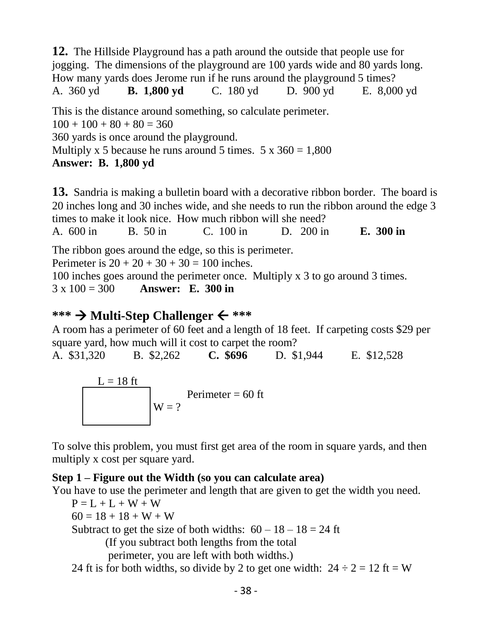**12.** The Hillside Playground has a path around the outside that people use for jogging. The dimensions of the playground are 100 yards wide and 80 yards long. How many yards does Jerome run if he runs around the playground 5 times? A. 360 yd **B. 1,800 yd** C. 180 yd D. 900 yd E. 8,000 yd This is the distance around something, so calculate perimeter.  $100 + 100 + 80 + 80 = 360$ 360 yards is once around the playground.

Multiply x 5 because he runs around 5 times.  $5 \times 360 = 1,800$ 

**Answer: B. 1,800 yd**

**13.** Sandria is making a bulletin board with a decorative ribbon border. The board is 20 inches long and 30 inches wide, and she needs to run the ribbon around the edge 3 times to make it look nice. How much ribbon will she need? A. 600 in B. 50 in C. 100 in D. 200 in **E. 300 in** The ribbon goes around the edge, so this is perimeter. Perimeter is  $20 + 20 + 30 + 30 = 100$  inches. 100 inches goes around the perimeter once. Multiply x 3 to go around 3 times. 3 x 100 = 300 **Answer: E. 300 in**

### **\*\*\* Multi-Step Challenger \*\*\***

A room has a perimeter of 60 feet and a length of 18 feet. If carpeting costs \$29 per square yard, how much will it cost to carpet the room?

A. \$31,320 B. \$2,262 **C. \$696** D. \$1,944 E. \$12,528

$$
L = 18 \text{ ft}
$$
  
Perimeter = 60 ft

To solve this problem, you must first get area of the room in square yards, and then multiply x cost per square yard.

### **Step 1 – Figure out the Width (so you can calculate area)**

You have to use the perimeter and length that are given to get the width you need.

 $P = L + L + W + W$ 

 $60 = 18 + 18 + W + W$ 

Subtract to get the size of both widths:  $60 - 18 - 18 = 24$  ft

(If you subtract both lengths from the total

perimeter, you are left with both widths.)

24 ft is for both widths, so divide by 2 to get one width:  $24 \div 2 = 12$  ft = W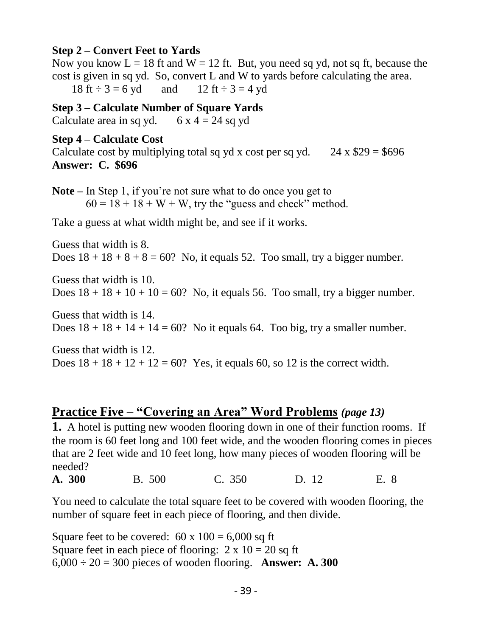#### **Step 2 – Convert Feet to Yards**

Now you know  $L = 18$  ft and  $W = 12$  ft. But, you need sq yd, not sq ft, because the cost is given in sq yd. So, convert L and W to yards before calculating the area. 18 ft  $\div$  3 = 6 yd and 12 ft  $\div$  3 = 4 yd

**Step 3 – Calculate Number of Square Yards**

Calculate area in sq yd.  $6x 4 = 24$  sq yd

#### **Step 4 – Calculate Cost**

Calculate cost by multiplying total sq yd x cost per sq yd.  $24 \times $29 = $696$ **Answer: C. \$696**

**Note –** In Step 1, if you're not sure what to do once you get to  $60 = 18 + 18 + W + W$ , try the "guess and check" method.

Take a guess at what width might be, and see if it works.

Guess that width is 8. Does  $18 + 18 + 8 + 8 = 60$ ? No, it equals 52. Too small, try a bigger number.

Guess that width is 10. Does  $18 + 18 + 10 + 10 = 60$ ? No, it equals 56. Too small, try a bigger number.

Guess that width is 14. Does  $18 + 18 + 14 + 14 = 60$ ? No it equals 64. Too big, try a smaller number.

Guess that width is 12. Does  $18 + 18 + 12 + 12 = 60$ ? Yes, it equals 60, so 12 is the correct width.

### **Practice Five – "Covering an Area" Word Problems** *(page 13)*

**1.** A hotel is putting new wooden flooring down in one of their function rooms. If the room is 60 feet long and 100 feet wide, and the wooden flooring comes in pieces that are 2 feet wide and 10 feet long, how many pieces of wooden flooring will be needed?

**A. 300** B. 500 C. 350 D. 12 E. 8

You need to calculate the total square feet to be covered with wooden flooring, the number of square feet in each piece of flooring, and then divide.

Square feet to be covered:  $60 \times 100 = 6,000$  sq ft Square feet in each piece of flooring:  $2 \times 10 = 20$  sq ft  $6,000 \div 20 = 300$  pieces of wooden flooring. **Answer: A. 300**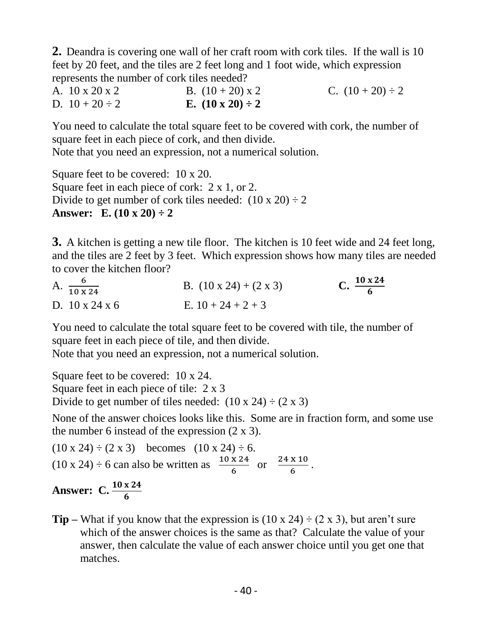**2.** Deandra is covering one wall of her craft room with cork tiles. If the wall is 10 feet by 20 feet, and the tiles are 2 feet long and 1 foot wide, which expression represents the number of cork tiles needed?

A.  $10 \times 20 \times 2$  B.  $(10 + 20) \times 2$  C.  $(10 + 20) \div 2$ D.  $10 + 20 \div 2$  **E.**  $(10 \times 20) \div 2$ 

You need to calculate the total square feet to be covered with cork, the number of square feet in each piece of cork, and then divide.

Note that you need an expression, not a numerical solution.

Square feet to be covered: 10 x 20. Square feet in each piece of cork: 2 x 1, or 2. Divide to get number of cork tiles needed:  $(10 \times 20) \div 2$ **Answer:** E.  $(10 \times 20) \div 2$ 

**3.** A kitchen is getting a new tile floor. The kitchen is 10 feet wide and 24 feet long, and the tiles are 2 feet by 3 feet. Which expression shows how many tiles are needed to cover the kitchen floor?

| A. $\frac{6}{10 \times 24}$ | B. $(10 \times 24) + (2 \times 3)$ | C. $\frac{10 \times 24}{6}$ |
|-----------------------------|------------------------------------|-----------------------------|
| D. $10 \times 24 \times 6$  | E. $10 + 24 + 2 + 3$               |                             |

You need to calculate the total square feet to be covered with tile, the number of square feet in each piece of tile, and then divide.

Note that you need an expression, not a numerical solution.

Square feet to be covered: 10 x 24. Square feet in each piece of tile: 2 x 3 Divide to get number of tiles needed:  $(10 \times 24) \div (2 \times 3)$ 

None of the answer choices looks like this. Some are in fraction form, and some use the number 6 instead of the expression (2 x 3).

 $(10 \times 24) \div (2 \times 3)$  becomes  $(10 \times 24) \div 6$ .  $(10 \times 24) \div 6$  can also be written as  $\frac{10 \times 24}{6}$  $\frac{x \cdot 24}{6}$  or  $\frac{24 \cdot x \cdot 10}{6}$  $\frac{x}{6}$ . **Answer:** C.  $\frac{10 \times 24}{6}$ 

**Tip** – What if you know that the expression is  $(10 \times 24) \div (2 \times 3)$ , but aren't sure which of the answer choices is the same as that? Calculate the value of your answer, then calculate the value of each answer choice until you get one that matches.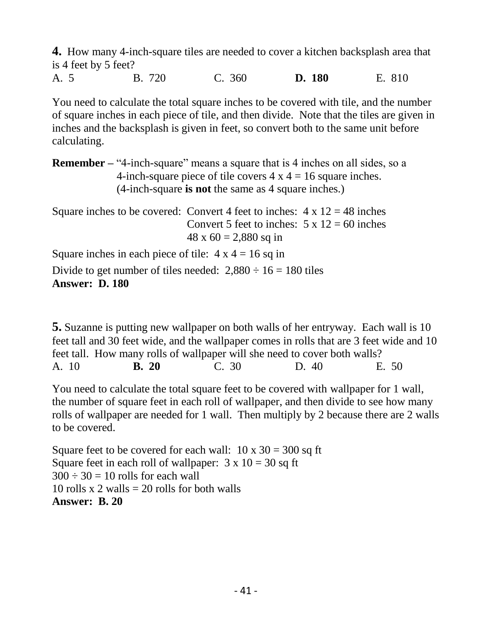**4.** How many 4-inch-square tiles are needed to cover a kitchen backsplash area that is 4 feet by 5 feet?

A. 5 B. 720 C. 360 **D. 180** E. 810

You need to calculate the total square inches to be covered with tile, and the number of square inches in each piece of tile, and then divide. Note that the tiles are given in inches and the backsplash is given in feet, so convert both to the same unit before calculating.

**Remember** – "4-inch-square" means a square that is 4 inches on all sides, so a 4-inch-square piece of tile covers  $4 \times 4 = 16$  square inches. (4-inch-square **is not** the same as 4 square inches.)

Square inches to be covered: Convert 4 feet to inches:  $4 \times 12 = 48$  inches Convert 5 feet to inches:  $5 \times 12 = 60$  inches  $48 \times 60 = 2,880$  sq in Square inches in each piece of tile:  $4 \times 4 = 16$  sq in Divide to get number of tiles needed:  $2,880 \div 16 = 180$  tiles

#### **Answer: D. 180**

**5.** Suzanne is putting new wallpaper on both walls of her entryway. Each wall is 10 feet tall and 30 feet wide, and the wallpaper comes in rolls that are 3 feet wide and 10 feet tall. How many rolls of wallpaper will she need to cover both walls? A. 10 **B. 20** C. 30 D. 40 E. 50

You need to calculate the total square feet to be covered with wallpaper for 1 wall, the number of square feet in each roll of wallpaper, and then divide to see how many rolls of wallpaper are needed for 1 wall. Then multiply by 2 because there are 2 walls to be covered.

Square feet to be covered for each wall:  $10 \times 30 = 300$  sq ft Square feet in each roll of wallpaper:  $3 \times 10 = 30$  sq ft  $300 \div 30 = 10$  rolls for each wall 10 rolls  $x$  2 walls = 20 rolls for both walls **Answer: B. 20**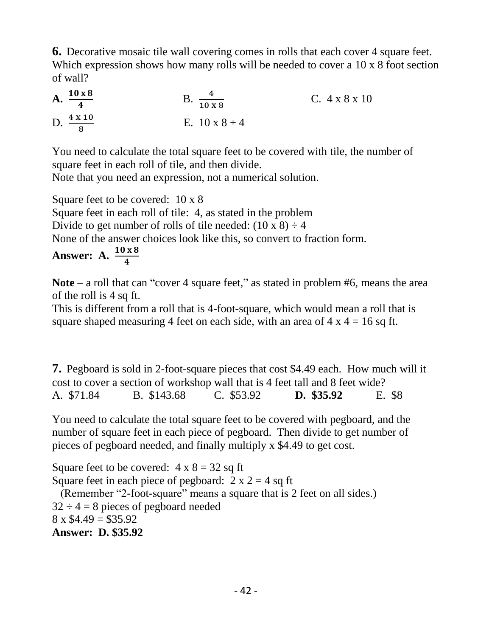**6.** Decorative mosaic tile wall covering comes in rolls that each cover 4 square feet. Which expression shows how many rolls will be needed to cover a 10 x 8 foot section of wall?

**A.** 
$$
\frac{10 \times 8}{4}
$$
  
\n**B.**  $\frac{4}{10 \times 8}$   
\n**C.** 4 x 8 x 10  
\n**D.**  $\frac{4 \times 10}{8}$   
\n**E.** 10 x 8 + 4

You need to calculate the total square feet to be covered with tile, the number of square feet in each roll of tile, and then divide.

Note that you need an expression, not a numerical solution.

Square feet to be covered: 10 x 8

Square feet in each roll of tile: 4, as stated in the problem

Divide to get number of rolls of tile needed:  $(10 \times 8) \div 4$ 

None of the answer choices look like this, so convert to fraction form.

#### **Answer: A.**  $\frac{10 \times 8}{4}$ 4

**Note** – a roll that can "cover 4 square feet," as stated in problem #6, means the area of the roll is 4 sq ft.

This is different from a roll that is 4-foot-square, which would mean a roll that is square shaped measuring 4 feet on each side, with an area of  $4 \times 4 = 16$  sq ft.

**7.** Pegboard is sold in 2-foot-square pieces that cost \$4.49 each. How much will it cost to cover a section of workshop wall that is 4 feet tall and 8 feet wide? A. \$71.84 B. \$143.68 C. \$53.92 **D. \$35.92** E. \$8

You need to calculate the total square feet to be covered with pegboard, and the number of square feet in each piece of pegboard. Then divide to get number of pieces of pegboard needed, and finally multiply x \$4.49 to get cost.

Square feet to be covered:  $4 \times 8 = 32$  sq ft Square feet in each piece of pegboard:  $2 \times 2 = 4$  sq ft (Remember "2-foot-square" means a square that is 2 feet on all sides.)  $32 \div 4 = 8$  pieces of pegboard needed  $8 \times \$4.49 = \$35.92$ **Answer: D. \$35.92**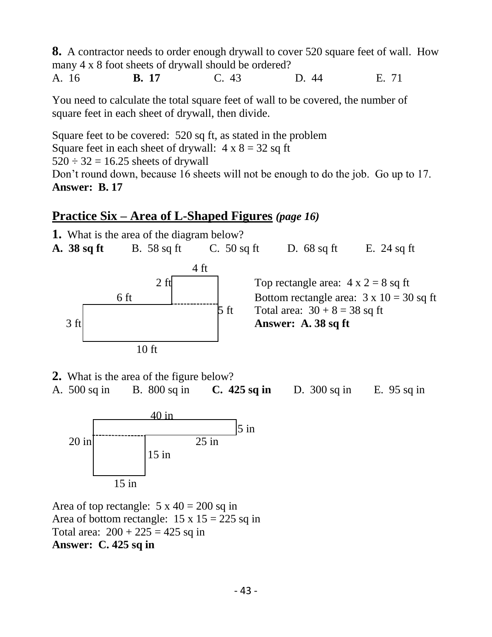**8.** A contractor needs to order enough drywall to cover 520 square feet of wall. How many 4 x 8 foot sheets of drywall should be ordered?

A. 16 **B. 17** C. 43 D. 44 E. 71

You need to calculate the total square feet of wall to be covered, the number of square feet in each sheet of drywall, then divide.

Square feet to be covered: 520 sq ft, as stated in the problem Square feet in each sheet of drywall:  $4 \times 8 = 32$  sq ft  $520 \div 32 = 16.25$  sheets of drywall Don't round down, because 16 sheets will not be enough to do the job. Go up to 17. **Answer: B. 17**

### **Practice Six – Area of L-Shaped Figures** *(page 16)*

**1.** What is the area of the diagram below? **A. 38 sq ft** B. 58 sq ft C. 50 sq ft D. 68 sq ft E. 24 sq ft  $4 \text{ ft}$ 2 ft Top rectangle area:  $4 \times 2 = 8$  sq ft 6 ft  $\vert$   $\vert$  Bottom rectangle area:  $3 \times 10 = 30$  sq ft 5 ft Total area:  $30 + 8 = 38$  sq ft 3 ft **Answer: A. 38 sq** ft 10 ft

**2.** What is the area of the figure below?

A. 500 sq in B. 800 sq in **C. 425 sq in** D. 300 sq in E. 95 sq in



Area of top rectangle:  $5 \times 40 = 200$  sq in Area of bottom rectangle:  $15 \times 15 = 225$  sq in Total area:  $200 + 225 = 425$  sq in **Answer: C. 425 sq in**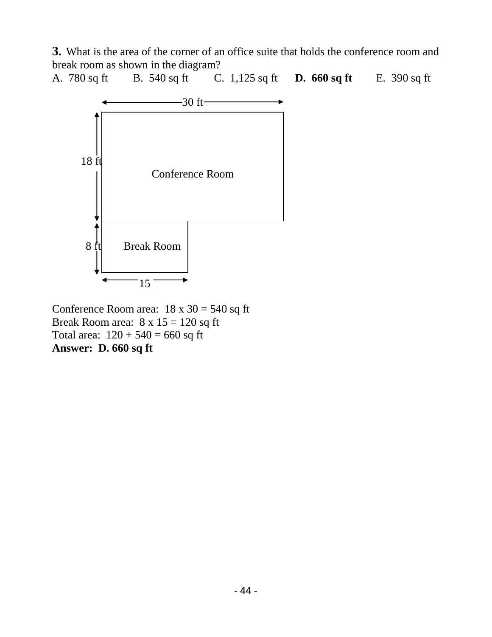**3.** What is the area of the corner of an office suite that holds the conference room and break room as shown in the diagram?

A. 780 sq ft B. 540 sq ft C. 1,125 sq ft **D. 660 sq ft** E. 390 sq ft



Conference Room area:  $18 \times 30 = 540$  sq ft Break Room area:  $8 \times 15 = 120$  sq ft Total area:  $120 + 540 = 660$  sq ft **Answer: D. 660 sq ft**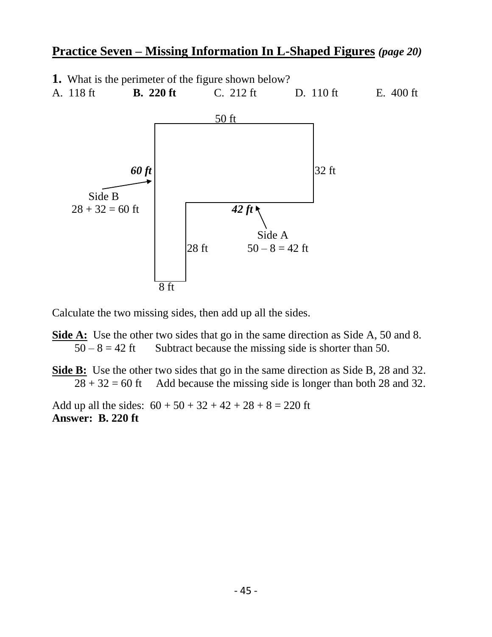### **Practice Seven – Missing Information In L-Shaped Figures** *(page 20)*

- **1.** What is the perimeter of the figure shown below?
- A. 118 ft **B. 220 ft** C. 212 ft D. 110 ft E. 400 ft



Calculate the two missing sides, then add up all the sides.

- **Side A:** Use the other two sides that go in the same direction as Side A, 50 and 8.  $50 - 8 = 42$  ft Subtract because the missing side is shorter than 50.
- **Side B:** Use the other two sides that go in the same direction as Side B, 28 and 32.  $28 + 32 = 60$  ft Add because the missing side is longer than both 28 and 32.

Add up all the sides:  $60 + 50 + 32 + 42 + 28 + 8 = 220$  ft **Answer: B. 220 ft**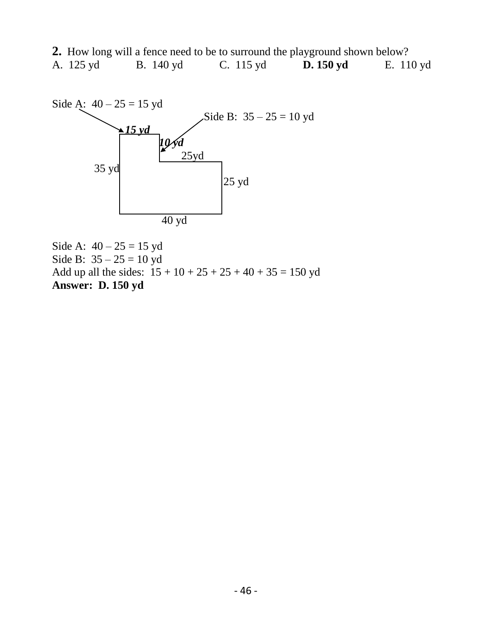|           | 2. How long will a fence need to be to surround the playground shown below? |                     |           |           |
|-----------|-----------------------------------------------------------------------------|---------------------|-----------|-----------|
| A. 125 yd | <b>B.</b> 140 yd                                                            | C. $115 \text{ yd}$ | D. 150 yd | E. 110 yd |



Side A:  $40 - 25 = 15$  yd Side B:  $35 - 25 = 10$  yd Add up all the sides:  $15 + 10 + 25 + 25 + 40 + 35 = 150$  yd **Answer: D. 150 yd**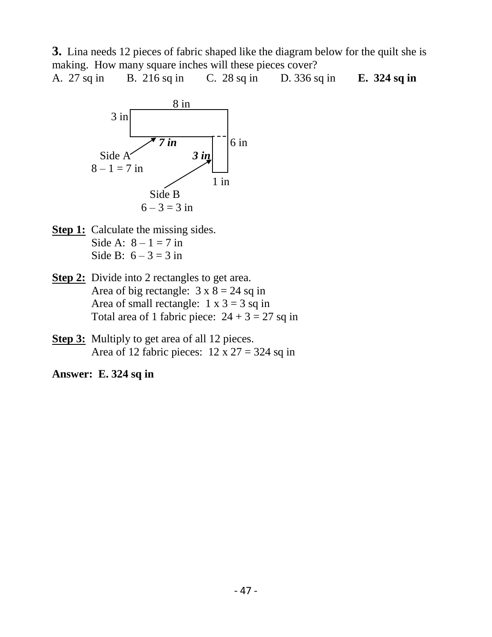**3.** Lina needs 12 pieces of fabric shaped like the diagram below for the quilt she is making. How many square inches will these pieces cover?

A. 27 sq in B. 216 sq in C. 28 sq in D. 336 sq in **E. 324 sq in**



- **Step 1:** Calculate the missing sides. Side A:  $8 - 1 = 7$  in Side B:  $6 - 3 = 3$  in
- **Step 2:** Divide into 2 rectangles to get area. Area of big rectangle:  $3 \times 8 = 24$  sq in Area of small rectangle:  $1 \times 3 = 3$  sq in Total area of 1 fabric piece:  $24 + 3 = 27$  sq in
- **Step 3:** Multiply to get area of all 12 pieces. Area of 12 fabric pieces:  $12 \times 27 = 324$  sq in

**Answer: E. 324 sq in**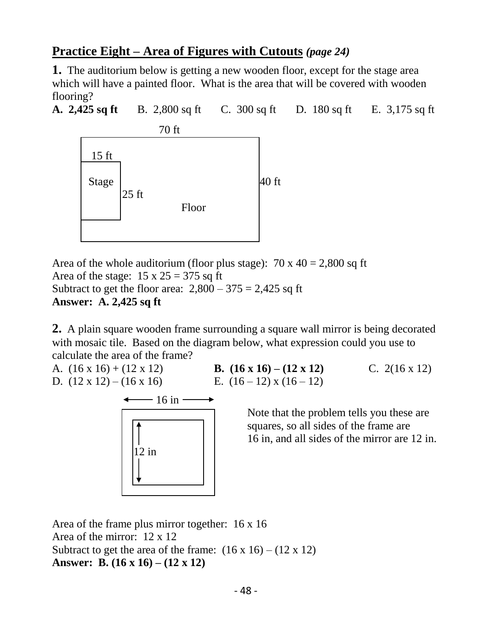### **Practice Eight – Area of Figures with Cutouts** *(page 24)*

**1.** The auditorium below is getting a new wooden floor, except for the stage area which will have a painted floor. What is the area that will be covered with wooden flooring?

**A. 2,425 sq ft** B. 2,800 sq ft C. 300 sq ft D. 180 sq ft E. 3,175 sq ft



Area of the whole auditorium (floor plus stage):  $70 \times 40 = 2,800$  sq ft Area of the stage:  $15 \times 25 = 375$  sq ft Subtract to get the floor area:  $2,800 - 375 = 2,425$  sq ft **Answer: A. 2,425 sq ft**

**2.** A plain square wooden frame surrounding a square wall mirror is being decorated with mosaic tile. Based on the diagram below, what expression could you use to calculate the area of the frame?

A. (16 x 16) + (12 x 12) **B. (16 x 16) – (12 x 12)** C. 2(16 x 12) D.  $(12 \times 12) - (16 \times 16)$  E.  $(16-12) \times (16-12)$ 

> Note that the problem tells you these are squares, so all sides of the frame are 16 in, and all sides of the mirror are 12 in.



Area of the frame plus mirror together: 16 x 16 Area of the mirror: 12 x 12 Subtract to get the area of the frame:  $(16 \times 16) - (12 \times 12)$ **Answer: B. (16 x 16) – (12 x 12)**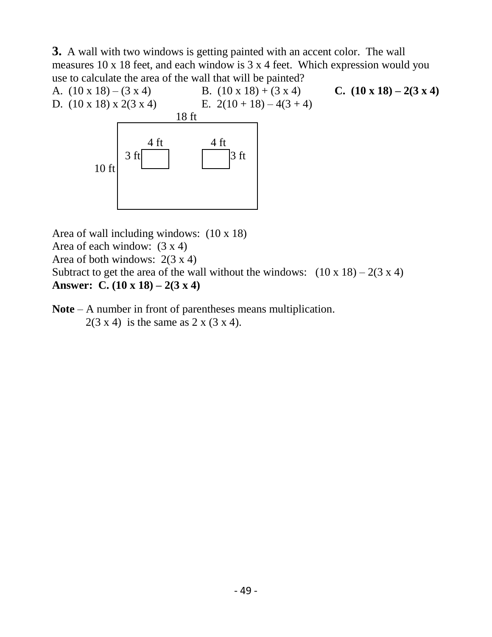**3.** A wall with two windows is getting painted with an accent color. The wall measures 10 x 18 feet, and each window is 3 x 4 feet. Which expression would you use to calculate the area of the wall that will be painted?



Area of wall including windows: (10 x 18) Area of each window: (3 x 4) Area of both windows:  $2(3 \times 4)$ Subtract to get the area of the wall without the windows:  $(10 \times 18) - 2(3 \times 4)$ **Answer: C. (10 x 18) – 2(3 x 4)**

**Note** – A number in front of parentheses means multiplication.  $2(3 \times 4)$  is the same as 2 x (3 x 4).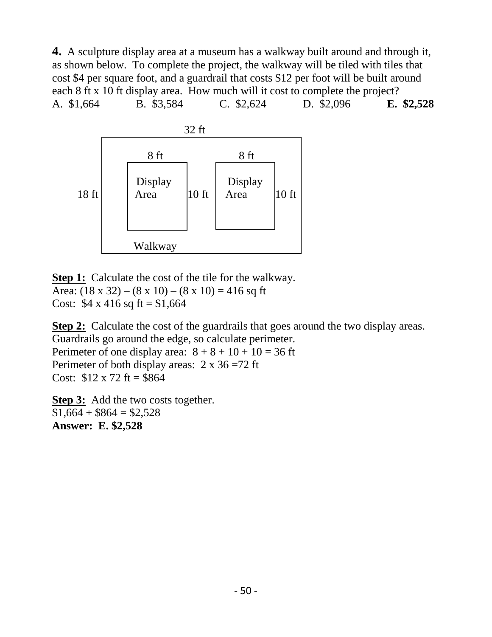**4.** A sculpture display area at a museum has a walkway built around and through it, as shown below. To complete the project, the walkway will be tiled with tiles that cost \$4 per square foot, and a guardrail that costs \$12 per foot will be built around each 8 ft x 10 ft display area. How much will it cost to complete the project? A. \$1,664 B. \$3,584 C. \$2,624 D. \$2,096 **E. \$2,528**



**Step 1:** Calculate the cost of the tile for the walkway. Area:  $(18 \times 32) - (8 \times 10) - (8 \times 10) = 416$  sq ft Cost:  $$4 \times 416 \text{ sq ft} = $1,664$ 

**Step 2:** Calculate the cost of the guardrails that goes around the two display areas. Guardrails go around the edge, so calculate perimeter. Perimeter of one display area:  $8 + 8 + 10 + 10 = 36$  ft Perimeter of both display areas:  $2 \times 36 = 72$  ft

Cost:  $$12 \times 72$  ft = \$864

**Step 3:** Add the two costs together.  $$1,664 + $864 = $2,528$ **Answer: E. \$2,528**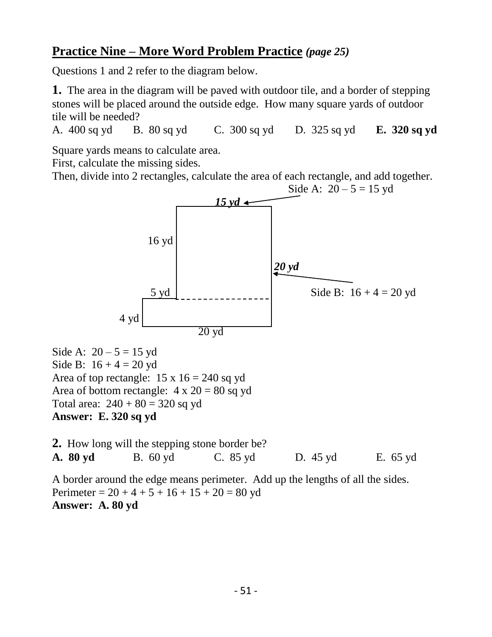### **Practice Nine – More Word Problem Practice** *(page 25)*

Questions 1 and 2 refer to the diagram below.

**1.** The area in the diagram will be paved with outdoor tile, and a border of stepping stones will be placed around the outside edge. How many square yards of outdoor tile will be needed?

A. 400 sq yd B. 80 sq yd C. 300 sq yd D. 325 sq yd **E. 320 sq yd**

Square yards means to calculate area.

First, calculate the missing sides.

Then, divide into 2 rectangles, calculate the area of each rectangle, and add together.



Side A:  $20 - 5 = 15$  yd Side B:  $16 + 4 = 20$  yd Area of top rectangle:  $15 \times 16 = 240$  sq yd Area of bottom rectangle:  $4 \times 20 = 80$  sq yd Total area:  $240 + 80 = 320$  sq yd **Answer: E. 320 sq yd**

**2.** How long will the stepping stone border be? **A. 80 yd** B. 60 yd C. 85 yd D. 45 yd E. 65 yd A border around the edge means perimeter. Add up the lengths of all the sides. Perimeter =  $20 + 4 + 5 + 16 + 15 + 20 = 80$  yd **Answer: A. 80 yd**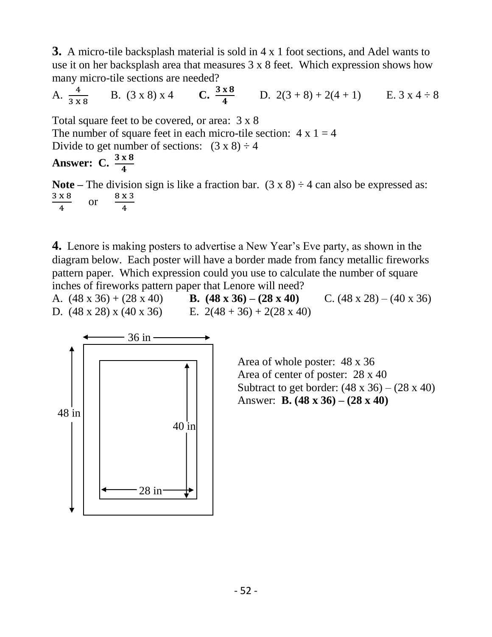**3.** A micro-tile backsplash material is sold in 4 x 1 foot sections, and Adel wants to use it on her backsplash area that measures 3 x 8 feet. Which expression shows how many micro-tile sections are needed?

A.  $\frac{4}{3 \times 8}$ B.  $(3 \times 8) \times 4$  $\frac{x}{4}$  D. 2(3 + 8) + 2(4 + 1) E. 3 x 4 ÷ 8

Total square feet to be covered, or area: 3 x 8 The number of square feet in each micro-tile section:  $4 \times 1 = 4$ Divide to get number of sections:  $(3 \times 8) \div 4$ 

**Answer: C.**  $\frac{3 \times 8}{4}$ 

**Note** – The division sign is like a fraction bar.  $(3 \times 8) \div 4$  can also be expressed as: 3 x 8 4 or 8 x 3 4

**4.** Lenore is making posters to advertise a New Year's Eve party, as shown in the diagram below. Each poster will have a border made from fancy metallic fireworks pattern paper. Which expression could you use to calculate the number of square inches of fireworks pattern paper that Lenore will need?

A. (48 x 36) + (28 x 40) **B. (48 x 36) – (28 x 40)** C. (48 x 28) – (40 x 36) D.  $(48 \times 28) \times (40 \times 36)$  E.  $2(48 + 36) + 2(28 \times 40)$ 



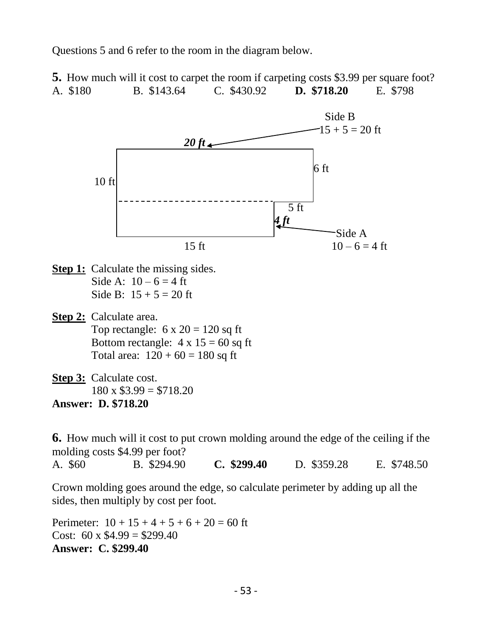Questions 5 and 6 refer to the room in the diagram below.

**5.** How much will it cost to carpet the room if carpeting costs \$3.99 per square foot? A. \$180 B. \$143.64 C. \$430.92 **D. \$718.20** E. \$798



- **Step 1:** Calculate the missing sides. Side A:  $10 - 6 = 4$  ft Side B:  $15 + 5 = 20$  ft
- **Step 2:** Calculate area. Top rectangle:  $6 \times 20 = 120$  sq ft Bottom rectangle:  $4 \times 15 = 60$  sq ft Total area:  $120 + 60 = 180$  sq ft
- **Step 3:** Calculate cost.  $180 \times $3.99 = $718.20$ **Answer: D. \$718.20**

**6.** How much will it cost to put crown molding around the edge of the ceiling if the molding costs \$4.99 per foot? A. \$60 B. \$294.90 **C. \$299.40** D. \$359.28 E. \$748.50

Crown molding goes around the edge, so calculate perimeter by adding up all the sides, then multiply by cost per foot.

Perimeter:  $10 + 15 + 4 + 5 + 6 + 20 = 60$  ft Cost:  $60 \times $4.99 = $299.40$ **Answer: C. \$299.40**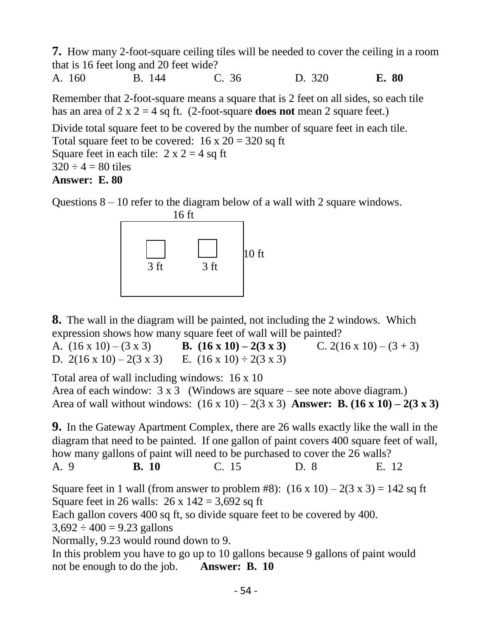**7.** How many 2-foot-square ceiling tiles will be needed to cover the ceiling in a room that is 16 feet long and 20 feet wide?

A. 160 B. 144 C. 36 D. 320 **E. 80**

Remember that 2-foot-square means a square that is 2 feet on all sides, so each tile has an area of  $2 \times 2 = 4$  sq ft. (2-foot-square **does not** mean 2 square feet.)

Divide total square feet to be covered by the number of square feet in each tile. Total square feet to be covered:  $16 \times 20 = 320$  sq ft Square feet in each tile:  $2 \times 2 = 4$  sq ft  $320 \div 4 = 80$  tiles **Answer: E. 80**

Questions  $8 - 10$  refer to the diagram below of a wall with 2 square windows.



**8.** The wall in the diagram will be painted, not including the 2 windows. Which expression shows how many square feet of wall will be painted?

A.  $(16 \times 10) - (3 \times 3)$  **B.**  $(16 \times 10) - 2(3 \times 3)$  C.  $2(16 \times 10) - (3 + 3)$ D.  $2(16 \times 10) - 2(3 \times 3)$  E.  $(16 \times 10) \div 2(3 \times 3)$ 

Total area of wall including windows: 16 x 10

Area of each window:  $3 \times 3$  (Windows are square – see note above diagram.) Area of wall without windows:  $(16 \times 10) - 2(3 \times 3)$  **Answer: B.**  $(16 \times 10) - 2(3 \times 3)$ 

**9.** In the Gateway Apartment Complex, there are 26 walls exactly like the wall in the diagram that need to be painted. If one gallon of paint covers 400 square feet of wall, how many gallons of paint will need to be purchased to cover the 26 walls? A. 9 **B. 10** C. 15 D. 8 E. 12

Square feet in 1 wall (from answer to problem #8):  $(16 \times 10) - 2(3 \times 3) = 142$  sq ft Square feet in 26 walls:  $26 \times 142 = 3,692$  sq ft

Each gallon covers 400 sq ft, so divide square feet to be covered by 400.

 $3,692 \div 400 = 9.23$  gallons

Normally, 9.23 would round down to 9.

In this problem you have to go up to 10 gallons because 9 gallons of paint would not be enough to do the job. **Answer: B. 10**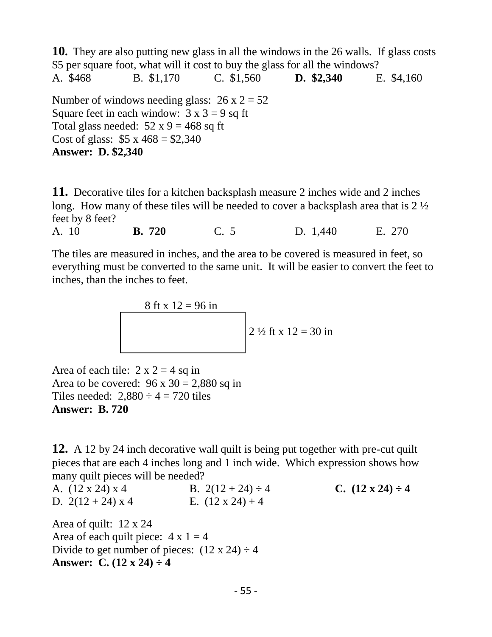**10.** They are also putting new glass in all the windows in the 26 walls. If glass costs \$5 per square foot, what will it cost to buy the glass for all the windows? A. \$468 B. \$1,170 C. \$1,560 **D. \$2,340** E. \$4,160 Number of windows needing glass:  $26 \times 2 = 52$ Square feet in each window:  $3 \times 3 = 9$  sq ft Total glass needed:  $52 \times 9 = 468$  sq ft Cost of glass:  $$5 \times 468 = $2,340$ **Answer: D. \$2,340**

**11.** Decorative tiles for a kitchen backsplash measure 2 inches wide and 2 inches long. How many of these tiles will be needed to cover a backsplash area that is 2 ½ feet by 8 feet?

A. 10 **B. 720** C. 5 D. 1,440 E. 270

The tiles are measured in inches, and the area to be covered is measured in feet, so everything must be converted to the same unit. It will be easier to convert the feet to inches, than the inches to feet.

8 ft x 12 = 96 in  
2 
$$
\frac{1}{2}
$$
 ft x 12 = 30 in

Area of each tile:  $2 \times 2 = 4$  sq in Area to be covered:  $96 \times 30 = 2,880$  sq in Tiles needed:  $2,880 \div 4 = 720$  tiles **Answer: B. 720**

**12.** A 12 by 24 inch decorative wall quilt is being put together with pre-cut quilt pieces that are each 4 inches long and 1 inch wide. Which expression shows how many quilt pieces will be needed?

A.  $(12 \times 24) \times 4$  B.  $2(12 + 24) \div 4$  C.  $(12 \times 24) \div 4$ D.  $2(12 + 24) \times 4$  E.  $(12 \times 24) + 4$ 

Area of quilt: 12 x 24 Area of each quilt piece:  $4 \times 1 = 4$ Divide to get number of pieces:  $(12 \times 24) \div 4$ **Answer: C. (12 x 24) ÷ 4**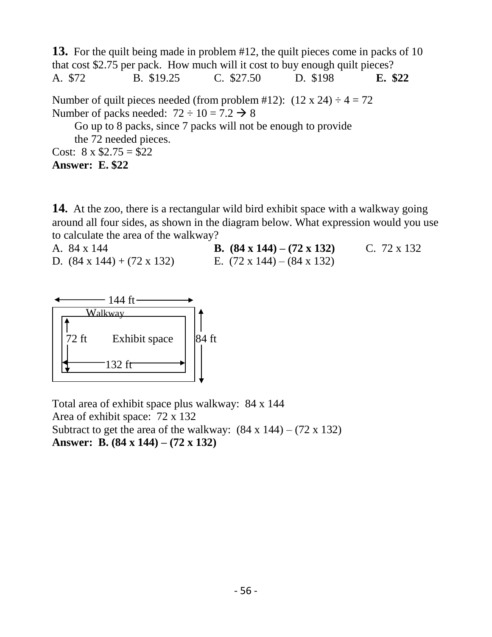**13.** For the quilt being made in problem #12, the quilt pieces come in packs of 10 that cost \$2.75 per pack. How much will it cost to buy enough quilt pieces? A. \$72 B. \$19.25 C. \$27.50 D. \$198 **E. \$22** Number of quilt pieces needed (from problem #12):  $(12 \times 24) \div 4 = 72$ Number of packs needed:  $72 \div 10 = 7.2 \rightarrow 8$  Go up to 8 packs, since 7 packs will not be enough to provide the 72 needed pieces. Cost:  $8 \times $2.75 = $22$ 

**Answer: E. \$22**

**14.** At the zoo, there is a rectangular wild bird exhibit space with a walkway going around all four sides, as shown in the diagram below. What expression would you use to calculate the area of the walkway?

A. 84 x 144 **B. (84 x 144) – (72 x 132)** C. 72 x 132 D.  $(84 \times 144) + (72 \times 132)$  E.  $(72 \times 144) - (84 \times 132)$ 



Total area of exhibit space plus walkway: 84 x 144 Area of exhibit space: 72 x 132 Subtract to get the area of the walkway:  $(84 \times 144) - (72 \times 132)$ **Answer: B. (84 x 144) – (72 x 132)**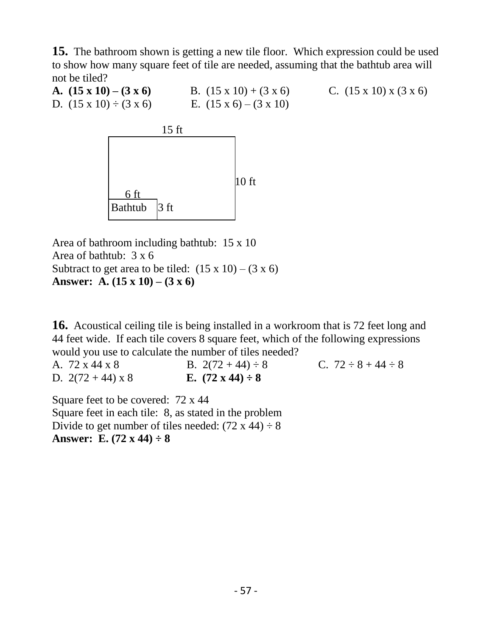**15.** The bathroom shown is getting a new tile floor. Which expression could be used to show how many square feet of tile are needed, assuming that the bathtub area will not be tiled?

**A.**  $(15 \times 10) - (3 \times 6)$  B.  $(15 \times 10) + (3 \times 6)$  C.  $(15 \times 10) \times (3 \times 6)$ D.  $(15 \times 10) \div (3 \times 6)$  E.  $(15 \times 6) - (3 \times 10)$ 



Area of bathroom including bathtub: 15 x 10 Area of bathtub: 3 x 6 Subtract to get area to be tiled:  $(15 \times 10) - (3 \times 6)$ **Answer: A. (15 x 10) – (3 x 6)**

**16.** Acoustical ceiling tile is being installed in a workroom that is 72 feet long and 44 feet wide. If each tile covers 8 square feet, which of the following expressions would you use to calculate the number of tiles needed?

A.  $72 \times 44 \times 8$  B.  $2(72 + 44) \div 8$  C.  $72 \div 8 + 44 \div 8$ D.  $2(72 + 44) \times 8$  **E.**  $(72 \times 44) \div 8$ 

Square feet to be covered: 72 x 44 Square feet in each tile: 8, as stated in the problem Divide to get number of tiles needed:  $(72 \times 44) \div 8$ **Answer: E. (72 x 44) ÷ 8**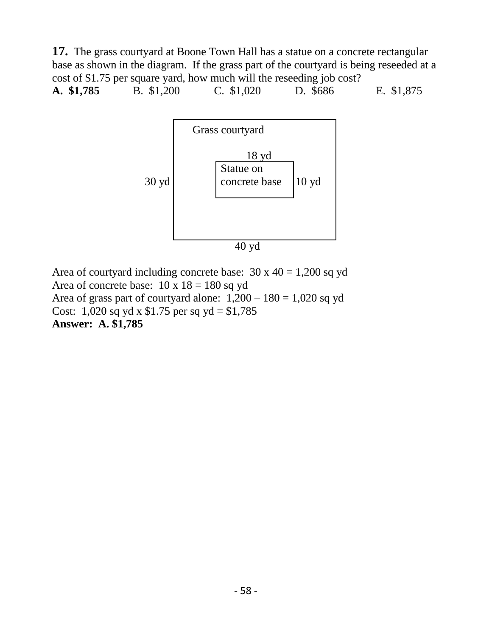**17.** The grass courtyard at Boone Town Hall has a statue on a concrete rectangular base as shown in the diagram. If the grass part of the courtyard is being reseeded at a cost of \$1.75 per square yard, how much will the reseeding job cost? **A. \$1,785** B. \$1,200 C. \$1,020 D. \$686 E. \$1,875



Area of courtyard including concrete base:  $30 \times 40 = 1,200$  sq yd Area of concrete base:  $10 \times 18 = 180$  sq yd Area of grass part of courtyard alone:  $1,200 - 180 = 1,020$  sq yd Cost: 1,020 sq yd x  $$1.75$  per sq yd =  $$1,785$ **Answer: A. \$1,785**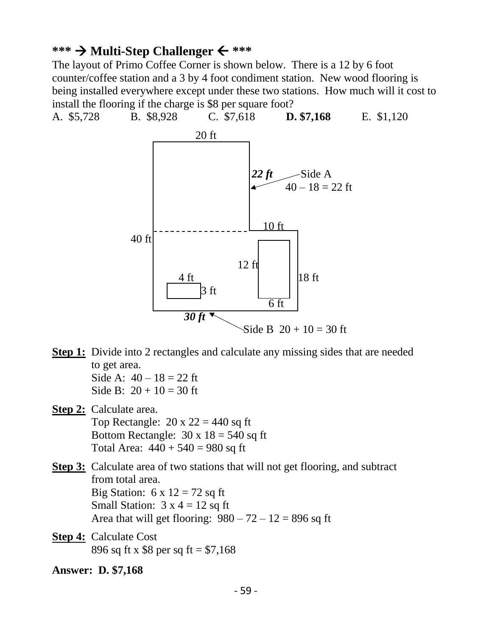### **\*\*\* Multi-Step Challenger \*\*\***

The layout of Primo Coffee Corner is shown below. There is a 12 by 6 foot counter/coffee station and a 3 by 4 foot condiment station. New wood flooring is being installed everywhere except under these two stations. How much will it cost to install the flooring if the charge is \$8 per square foot?



**Step 1:** Divide into 2 rectangles and calculate any missing sides that are needed to get area.

Side A:  $40 - 18 = 22$  ft Side B:  $20 + 10 = 30$  ft

**Step 2:** Calculate area. Top Rectangle:  $20 \times 22 = 440$  sq ft Bottom Rectangle:  $30 \times 18 = 540$  sq ft Total Area:  $440 + 540 = 980$  sq ft

**Step 3:** Calculate area of two stations that will not get flooring, and subtract from total area. Big Station:  $6 \times 12 = 72$  sq ft Small Station:  $3 \times 4 = 12$  sq ft Area that will get flooring:  $980 - 72 - 12 = 896$  sq ft

**Step 4:** Calculate Cost 896 sq ft x \$8 per sq ft = \$7,168

**Answer: D. \$7,168**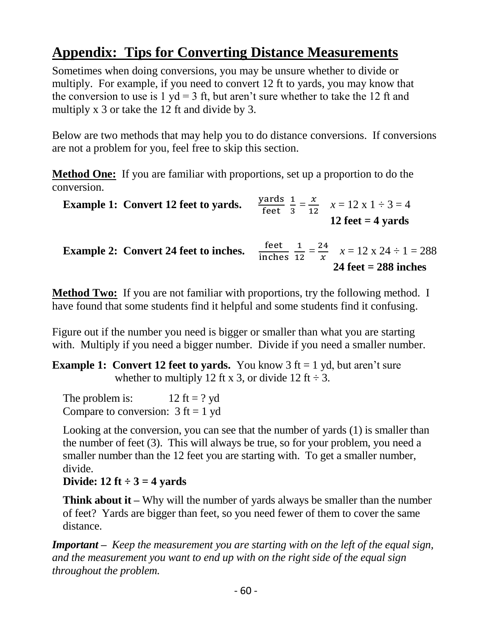# **Appendix: Tips for Converting Distance Measurements**

Sometimes when doing conversions, you may be unsure whether to divide or multiply. For example, if you need to convert 12 ft to yards, you may know that the conversion to use is 1 yd = 3 ft, but aren't sure whether to take the 12 ft and multiply x 3 or take the 12 ft and divide by 3.

Below are two methods that may help you to do distance conversions. If conversions are not a problem for you, feel free to skip this section.

**Method One:** If you are familiar with proportions, set up a proportion to do the conversion.

| <b>Example 1: Convert 12 feet to yards.</b>  | $\frac{\text{yards}}{\text{feet}} \frac{1}{3} = \frac{x}{12}$ $x = 12 \text{ x } 1 \div 3 = 4$<br>12 feet $=$ 4 yards     |
|----------------------------------------------|---------------------------------------------------------------------------------------------------------------------------|
| <b>Example 2: Convert 24 feet to inches.</b> | $\frac{\text{feet}}{\text{inches}} \frac{1}{12} = \frac{24}{x}$ $x = 12 \times 24 \div 1 = 288$<br>24 feet $= 288$ inches |

**Method Two:** If you are not familiar with proportions, try the following method. I have found that some students find it helpful and some students find it confusing.

Figure out if the number you need is bigger or smaller than what you are starting with. Multiply if you need a bigger number. Divide if you need a smaller number.

**Example 1: Convert 12 feet to yards.** You know  $3 \text{ ft} = 1 \text{ yd}$ , but aren't sure whether to multiply 12 ft x 3, or divide 12 ft  $\div$  3.

The problem is:  $12 \text{ ft} = ? \text{ yd}$ Compare to conversion:  $3 \text{ ft} = 1 \text{ yd}$ 

 Looking at the conversion, you can see that the number of yards (1) is smaller than the number of feet (3). This will always be true, so for your problem, you need a smaller number than the 12 feet you are starting with. To get a smaller number, divide.

**Divide:**  $12 \text{ ft} \div 3 = 4 \text{ yards}$ 

**Think about it** – Why will the number of yards always be smaller than the number of feet? Yards are bigger than feet, so you need fewer of them to cover the same distance.

*Important – Keep the measurement you are starting with on the left of the equal sign, and the measurement you want to end up with on the right side of the equal sign throughout the problem.*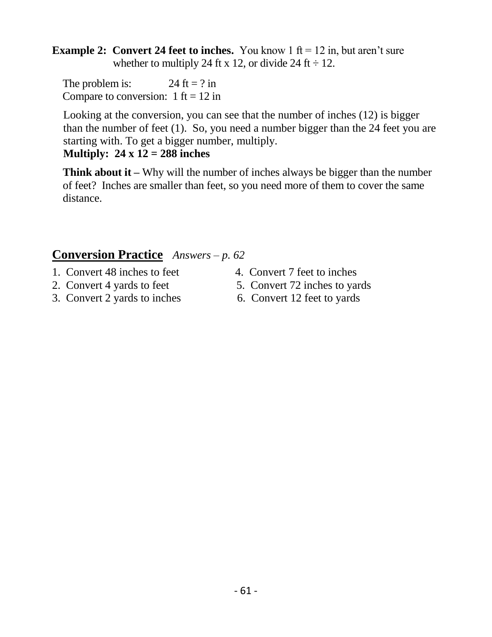**Example 2: Convert 24 feet to inches.** You know  $1 \text{ ft} = 12 \text{ in, but aren't sure}$ whether to multiply 24 ft x 12, or divide 24 ft  $\div$  12.

The problem is:  $24 \text{ ft} = ? \text{ in}$ Compare to conversion:  $1 \text{ ft} = 12 \text{ in}$ 

 Looking at the conversion, you can see that the number of inches (12) is bigger than the number of feet (1). So, you need a number bigger than the 24 feet you are starting with. To get a bigger number, multiply.

### **Multiply: 24 x 12 = 288 inches**

 **Think about it –** Why will the number of inches always be bigger than the number of feet? Inches are smaller than feet, so you need more of them to cover the same distance.

### **Conversion Practice** *Answers – p. 62*

- 1. Convert 48 inches to feet 4. Convert 7 feet to inches
- 
- 3. Convert 2 yards to inches 6. Convert 12 feet to yards
- 
- 2. Convert 4 yards to feet 5. Convert 72 inches to yards
	-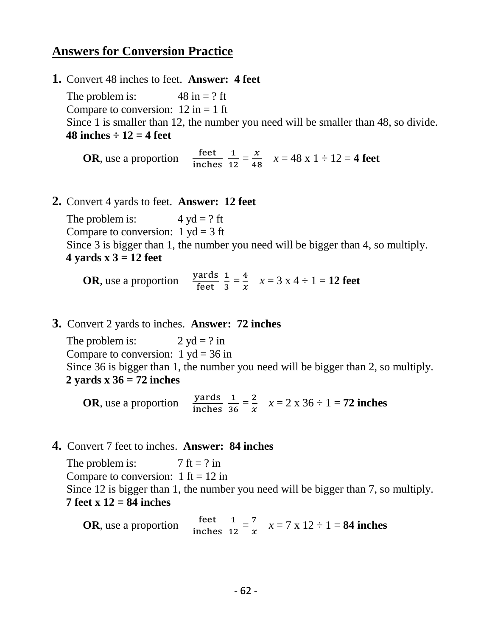### **Answers for Conversion Practice**

**1.** Convert 48 inches to feet. **Answer: 4 feet** 

The problem is:  $48 \text{ in} = ? \text{ ft}$ Compare to conversion:  $12 \text{ in} = 1 \text{ ft}$  Since 1 is smaller than 12, the number you need will be smaller than 48, so divide. **48 inches**  $\div$  **12 = 4 feet** 

**OR**, use a proportion  $\frac{\text{feet}}{\text{inches}} \frac{1}{12}$  $\frac{1}{12} = \frac{x}{48}$  $\frac{x}{48}$   $x = 48 \text{ x } 1 \div 12 = 4 \text{ feet}$ 

**2.** Convert 4 yards to feet. **Answer: 12 feet**

The problem is:  $4 yd = ?$  ft Compare to conversion:  $1 \text{ yd} = 3 \text{ ft}$  Since 3 is bigger than 1, the number you need will be bigger than 4, so multiply.  **4 yards x 3 = 12 feet**

**OR**, use a proportion  $\frac{\text{yards}}{\text{feet}} \frac{1}{3}$  $\frac{1}{3} = \frac{4}{x}$  $\frac{4}{x}$   $x = 3$   $x 4 \div 1 = 12$  feet

**3.** Convert 2 yards to inches. **Answer: 72 inches** 

The problem is:  $2 yd = ?$  in Compare to conversion:  $1 \text{ yd} = 36 \text{ in}$  Since 36 is bigger than 1, the number you need will be bigger than 2, so multiply.  **2 yards x 36 = 72 inches**

**OR**, use a proportion  $\frac{yards}{inches}$   $\frac{1}{36}$  $\frac{1}{36} = \frac{2}{x}$  $\frac{2}{x}$   $x = 2 \times 36 \div 1 = 72$  inches

### **4.** Convert 7 feet to inches. **Answer: 84 inches**

The problem is:  $7 \text{ ft} = ? \text{ in}$ Compare to conversion:  $1 \text{ ft} = 12 \text{ in}$  Since 12 is bigger than 1, the number you need will be bigger than 7, so multiply.  **7 feet x 12 = 84 inches**

**OR**, use a proportion  $\frac{\text{feet}}{\text{inches}} \frac{1}{12}$  $\frac{1}{12} = \frac{7}{x}$  $\frac{7}{x}$   $x = 7 \times 12 \div 1 = 84$  inches